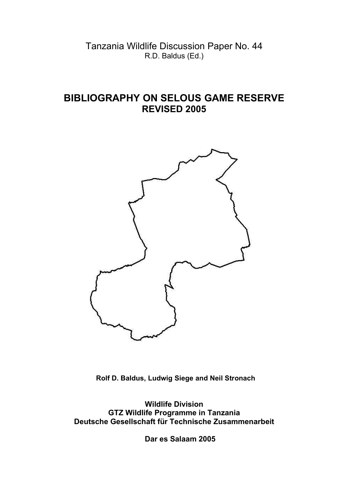Tanzania Wildlife Discussion Paper No. 44 R.D. Baldus (Ed.)

## **BIBLIOGRAPHY ON SELOUS GAME RESERVE REVISED 2005**



 **Rolf D. Baldus, Ludwig Siege and Neil Stronach**

**Wildlife Division GTZ Wildlife Programme in Tanzania Deutsche Gesellschaft für Technische Zusammenarbeit**

 **Dar es Salaam 2005**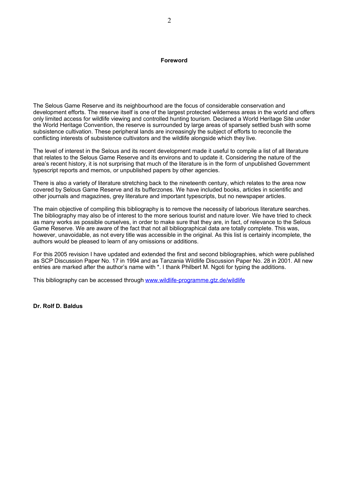## **Foreword**

The Selous Game Reserve and its neighbourhood are the focus of considerable conservation and development efforts. The reserve itself is one of the largest protected wilderness areas in the world and offers only limited access for wildlife viewing and controlled hunting tourism. Declared a World Heritage Site under the World Heritage Convention, the reserve is surrounded by large areas of sparsely settled bush with some subsistence cultivation. These peripheral lands are increasingly the subject of efforts to reconcile the conflicting interests of subsistence cultivators and the wildlife alongside which they live.

The level of interest in the Selous and its recent development made it useful to compile a list of all literature that relates to the Selous Game Reserve and its environs and to update it. Considering the nature of the area's recent history, it is not surprising that much of the literature is in the form of unpublished Government typescript reports and memos, or unpublished papers by other agencies.

There is also a variety of literature stretching back to the nineteenth century, which relates to the area now covered by Selous Game Reserve and its bufferzones. We have included books, articles in scientific and other journals and magazines, grey literature and important typescripts, but no newspaper articles.

The main objective of compiling this bibliography is to remove the necessity of laborious literature searches. The bibliography may also be of interest to the more serious tourist and nature lover. We have tried to check as many works as possible ourselves, in order to make sure that they are, in fact, of relevance to the Selous Game Reserve. We are aware of the fact that not all bibliographical data are totally complete. This was, however, unavoidable, as not every title was accessible in the original. As this list is certainly incomplete, the authors would be pleased to learn of any omissions or additions.

For this 2005 revision I have updated and extended the first and second bibliographies, which were published as SCP Discussion Paper No. 17 in 1994 and as Tanzania Wildlife Discussion Paper No. 28 in 2001. All new entries are marked after the author's name with \*. I thank Philbert M. Ngoti for typing the additions.

This bibliography can be accessed through www.wildlife-programme.gtz.de/wildlife

**Dr. Rolf D. Baldus**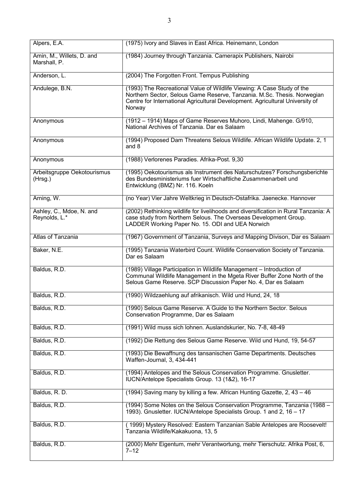| Alpers, E.A.                              | (1975) Ivory and Slaves in East Africa. Heinemann, London                                                                                                                                                                                    |
|-------------------------------------------|----------------------------------------------------------------------------------------------------------------------------------------------------------------------------------------------------------------------------------------------|
| Amin, M., Willets, D. and<br>Marshall, P. | (1984) Journey through Tanzania. Camerapix Publishers, Nairobi                                                                                                                                                                               |
| Anderson, L.                              | (2004) The Forgotten Front. Tempus Publishing                                                                                                                                                                                                |
| Andulege, B.N.                            | (1993) The Recreational Value of Wildlife Viewing: A Case Study of the<br>Northern Sector, Selous Game Reserve, Tanzania. M.Sc. Thesis. Norwegian<br>Centre for International Agricultural Development. Agricultural University of<br>Norway |
| Anonymous                                 | (1912 – 1914) Maps of Game Reserves Muhoro, Lindi, Mahenge. G/910,<br>National Archives of Tanzania. Dar es Salaam                                                                                                                           |
| Anonymous                                 | (1994) Proposed Dam Threatens Selous Wildlife. African Wildlife Update. 2, 1<br>and 8                                                                                                                                                        |
| Anonymous                                 | (1988) Verlorenes Paradies. Afrika-Post. 9,30                                                                                                                                                                                                |
| Arbeitsgruppe Oekotourismus<br>(Hrsg.)    | (1995) Oekotourismus als Instrument des Naturschutzes? Forschungsberichte<br>des Bundesministeriums fuer Wirtschaftliche Zusammenarbeit und<br>Entwicklung (BMZ) Nr. 116. Koeln                                                              |
| Arning, W.                                | (no Year) Vier Jahre Weltkrieg in Deutsch-Ostafrika. Jaenecke. Hannover                                                                                                                                                                      |
| Ashley, C., Mdoe, N. and<br>Reynolds, L.* | (2002) Rethinking wildlife for livelihoods and diversification in Rural Tanzania: A<br>case study from Northern Selous. The Overseas Development Group.<br>LADDER Working Paper No. 15. ODI and UEA Norwich                                  |
| Atlas of Tanzania                         | (1967) Government of Tanzania, Surveys and Mapping Divison, Dar es Salaam                                                                                                                                                                    |
| Baker, N.E.                               | (1995) Tanzania Waterbird Count. Wildlife Conservation Society of Tanzania.<br>Dar es Salaam                                                                                                                                                 |
| Baldus, R.D.                              | (1989) Village Participation in Wildlife Management - Introduction of<br>Communal Wildlife Management in the Mgeta River Buffer Zone North of the<br>Selous Game Reserve. SCP Discussion Paper No. 4, Dar es Salaam                          |
| Baldus, R.D.                              | (1990) Wildzaehlung auf afrikanisch. Wild und Hund, 24, 18                                                                                                                                                                                   |
| Baldus, R.D.                              | (1990) Selous Game Reserve. A Guide to the Northern Sector. Selous<br>Conservation Programme, Dar es Salaam                                                                                                                                  |
| Baldus, R.D.                              | (1991) Wild muss sich lohnen. Auslandskurier, No. 7-8, 48-49                                                                                                                                                                                 |
| Baldus, R.D.                              | (1992) Die Rettung des Selous Game Reserve. Wild und Hund, 19, 54-57                                                                                                                                                                         |
| Baldus, R.D.                              | (1993) Die Bewaffnung des tansanischen Game Departments. Deutsches<br>Waffen-Journal, 3, 434-441                                                                                                                                             |
| Baldus, R.D.                              | (1994) Antelopes and the Selous Conservation Programme. Gnusletter.<br>IUCN/Antelope Specialists Group. 13 (1&2), 16-17                                                                                                                      |
| Baldus, R. D.                             | (1994) Saving many by killing a few. African Hunting Gazette, 2, 43 - 46                                                                                                                                                                     |
| Baldus, R.D.                              | (1994) Some Notes on the Selous Conservation Programme, Tanzania (1988 -<br>1993). Gnusletter. IUCN/Antelope Specialists Group. 1 and 2, 16 - 17                                                                                             |
| Baldus, R.D.                              | (1999) Mystery Resolved: Eastern Tanzanian Sable Antelopes are Roosevelt!<br>Tanzania Wildlife/Kakakuona, 13, 5                                                                                                                              |
| Baldus, R.D.                              | (2000) Mehr Eigentum, mehr Verantwortung, mehr Tierschutz. Afrika Post, 6,<br>$7 - 12$                                                                                                                                                       |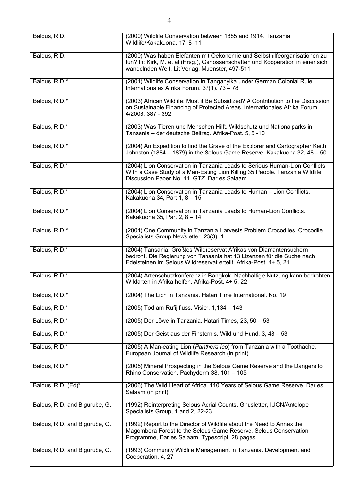| Baldus, R.D.                  | (2000) Wildlife Conservation between 1885 and 1914. Tanzania<br>Wildlife/Kakakuona. 17, 8-11                                                                                                                   |
|-------------------------------|----------------------------------------------------------------------------------------------------------------------------------------------------------------------------------------------------------------|
| Baldus, R.D.                  | (2000) Was haben Elefanten mit Oekonomie und Selbsthilfeorganisationen zu<br>tun? In: Kirk, M. et al (Hrsg.), Genossenschaften und Kooperation in einer sich<br>wandelnden Welt. Lit Verlag, Muenster, 497-511 |
| Baldus, R.D.*                 | (2001) Wildlife Conservation in Tanganyika under German Colonial Rule.<br>Internationales Afrika Forum. 37(1). 73 - 78                                                                                         |
| Baldus, R.D.*                 | (2003) African Wildlife: Must it Be Subsidized? A Contribution to the Discussion<br>on Sustainable Financing of Protected Areas. Internationales Afrika Forum.<br>4/2003, 387 - 392                            |
| Baldus, R.D.*                 | (2003) Was Tieren und Menschen Hilft. Wildschutz und Nationalparks in<br>Tansania – der deutsche Beitrag. Afrika-Post. 5, 5-10                                                                                 |
| Baldus, R.D.*                 | (2004) An Expedition to find the Grave of the Explorer and Cartographer Keith<br>Johnston (1884 - 1879) in the Selous Game Reserve. Kakakuona 32, 48 - 50                                                      |
| Baldus, R.D.*                 | (2004) Lion Conservation in Tanzania Leads to Serious Human-Lion Conflicts.<br>With a Case Study of a Man-Eating Lion Killing 35 People. Tanzania Wildlife<br>Discussion Paper No. 41. GTZ. Dar es Salaam      |
| Baldus, R.D.*                 | (2004) Lion Conservation in Tanzania Leads to Human - Lion Conflicts.<br>Kakakuona 34, Part 1, 8 - 15                                                                                                          |
| Baldus, R.D.*                 | (2004) Lion Conservation in Tanzania Leads to Human-Lion Conflicts.<br>Kakakuona 35, Part 2, 8 - 14                                                                                                            |
| Baldus, R.D.*                 | (2004) One Community in Tanzania Harvests Problem Crocodiles. Crocodile<br>Specialists Group Newsletter. 23(3), 1                                                                                              |
| Baldus, R.D.*                 | (2004) Tansania: Größtes Wildreservat Afrikas von Diamantensuchern<br>bedroht. Die Regierung von Tansania hat 13 Lizenzen für die Suche nach                                                                   |
|                               | Edelsteinen im Selous Wildreservat erteilt. Afrika-Post. 4+ 5, 21                                                                                                                                              |
| Baldus, R.D.*                 | (2004) Artenschutzkonferenz in Bangkok. Nachhaltige Nutzung kann bedrohten<br>Wildarten in Afrika helfen. Afrika-Post. 4+ 5, 22                                                                                |
| Baldus, R.D.*                 | (2004) The Lion in Tanzania. Hatari Time International, No. 19                                                                                                                                                 |
| Baldus, R.D.*                 | (2005) Tod am Rufijifluss. Visier. 1,134 - 143                                                                                                                                                                 |
| Baldus, R.D.*                 | (2005) Der Löwe in Tanzania. Hatari Times, 23, 50 - 53                                                                                                                                                         |
| Baldus, R.D.*                 | (2005) Der Geist aus der Finsternis. Wild und Hund, 3, 48 - 53                                                                                                                                                 |
| Baldus, R.D.*                 | (2005) A Man-eating Lion (Panthera leo) from Tanzania with a Toothache.<br>European Journal of Wildlife Research (in print)                                                                                    |
| Baldus, R.D.*                 | (2005) Mineral Prospecting in the Selous Game Reserve and the Dangers to<br>Rhino Conservation. Pachyderm 38, 101 - 105                                                                                        |
| Baldus, R.D. (Ed)*            | (2006) The Wild Heart of Africa. 110 Years of Selous Game Reserve. Dar es<br>Salaam (in print)                                                                                                                 |
| Baldus, R.D. and Bigurube, G. | (1992) Reinterpreting Selous Aerial Counts. Gnusletter, IUCN/Antelope<br>Specialists Group, 1 and 2, 22-23                                                                                                     |
| Baldus, R.D. and Bigurube, G. | (1992) Report to the Director of Wildlife about the Need to Annex the<br>Magombera Forest to the Selous Game Reserve. Selous Conservation<br>Programme, Dar es Salaam. Typescript, 28 pages                    |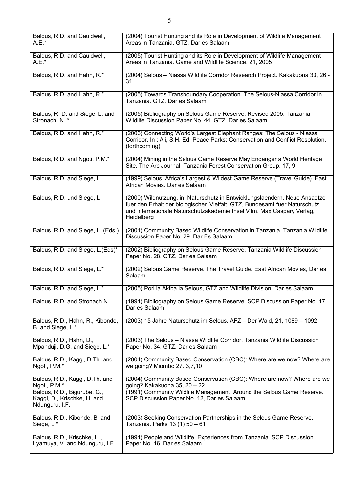| Baldus, R.D. and Cauldwell,<br>A.E.*                                         | (2004) Tourist Hunting and its Role in Development of Wildlife Management<br>Areas in Tanzania. GTZ. Dar es Salaam                                                                                                                               |
|------------------------------------------------------------------------------|--------------------------------------------------------------------------------------------------------------------------------------------------------------------------------------------------------------------------------------------------|
| Baldus, R.D. and Cauldwell,<br>$A.E.*$                                       | (2005) Tourist Hunting and its Role in Development of Wildlife Management<br>Areas in Tanzania. Game and Wildlife Science. 21, 2005                                                                                                              |
| Baldus, R.D. and Hahn, R.*                                                   | (2004) Selous - Niassa Wildlife Corridor Research Project. Kakakuona 33, 26 -<br>31                                                                                                                                                              |
| Baldus, R.D. and Hahn, R.*                                                   | (2005) Towards Transboundary Cooperation. The Selous-Niassa Corridor in<br>Tanzania. GTZ. Dar es Salaam                                                                                                                                          |
| Baldus, R. D. and Siege, L. and<br>Stronach, N. *                            | (2005) Bibliography on Selous Game Reserve. Revised 2005. Tanzania<br>Wildlife Discussion Paper No. 44. GTZ. Dar es Salaam                                                                                                                       |
| Baldus, R.D. and Hahn, R.*                                                   | (2006) Connecting World's Largest Elephant Ranges: The Selous - Niassa<br>Corridor. In: Ali, S.H. Ed. Peace Parks: Conservation and Conflict Resolution.<br>(forthcoming)                                                                        |
| Baldus, R.D. and Ngoti, P.M.*                                                | (2004) Mining in the Selous Game Reserve May Endanger a World Heritage<br>Site. The Arc Journal. Tanzania Forest Conservation Group. 17, 9                                                                                                       |
| Baldus, R.D. and Siege, L.                                                   | (1999) Selous. Africa's Largest & Wildest Game Reserve (Travel Guide). East<br>African Movies, Dar es Salaam                                                                                                                                     |
| Baldus, R.D. und Siege, L                                                    | (2000) Wildnutzung, in: Naturschutz in Entwicklungslaendern. Neue Ansaetze<br>fuer den Erhalt der biologischen Vielfalt. GTZ, Bundesamt fuer Naturschutz<br>und Internationale Naturschutzakademie Insel Vilm. Max Caspary Verlag,<br>Heidelberg |
| Baldus, R.D. and Siege, L. (Eds.)                                            | (2001) Community Based Wildlife Conservation in Tanzania. Tanzania Wildlife<br>Discussion Paper No. 29. Dar Es Salaam                                                                                                                            |
| Baldus, R.D. and Siege, L.(Eds)*                                             | (2002) Bibliography on Selous Game Reserve. Tanzania Wildlife Discussion<br>Paper No. 28. GTZ. Dar es Salaam                                                                                                                                     |
| Baldus, R.D. and Siege, L.*                                                  | (2002) Selous Game Reserve. The Travel Guide. East African Movies, Dar es<br>Salaam                                                                                                                                                              |
| Baldus, R.D. and Siege, L.*                                                  | (2005) Pori la Akiba la Selous, GTZ and Wildlife Division, Dar es Salaam                                                                                                                                                                         |
| Baldus, R.D. and Stronach N.                                                 | (1994) Bibliography on Selous Game Reserve. SCP Discussion Paper No. 17.<br>Dar es Salaam                                                                                                                                                        |
| Baldus, R.D., Hahn, R., Kibonde,<br>B. and Siege, L.*                        | (2003) 15 Jahre Naturschutz im Selous. AFZ - Der Wald, 21, 1089 - 1092                                                                                                                                                                           |
| Baldus, R.D., Hahn, D.,<br>Mpanduji, D.G. and Siege, L.*                     | (2003) The Selous - Niassa Wildlife Corridor. Tanzania Wildlife Discussion<br>Paper No. 34. GTZ. Dar es Salaam                                                                                                                                   |
| Baldus, R.D., Kaggi, D.Th. and<br>Ngoti, P.M.*                               | (2004) Community Based Conservation (CBC): Where are we now? Where are<br>we going? Miombo 27. 3,7,10                                                                                                                                            |
| Baldus, R.D., Kaggi, D.Th. and<br>Ngoti, P.M.*                               | (2004) Community Based Conservation (CBC): Where are now? Where are we<br>going? Kakakuona 35, 20 - 22                                                                                                                                           |
| Baldus, R.D., Bigurube, G.,<br>Kaggi, D., Krischke, H. and<br>Ndunguru, I.F. | (1991) Community Wildlife Management Around the Selous Game Reserve.<br>SCP Discussion Paper No. 12, Dar es Salaam                                                                                                                               |
| Baldus, R.D., Kibonde, B. and<br>Siege, L.*                                  | (2003) Seeking Conservation Partnerships in the Selous Game Reserve,<br>Tanzania. Parks 13 (1) 50 - 61                                                                                                                                           |
| Baldus, R.D., Krischke, H.,<br>Lyamuya, V. and Ndunguru, I.F.                | (1994) People and Wildlife. Experiences from Tanzania. SCP Discussion<br>Paper No. 16, Dar es Salaam                                                                                                                                             |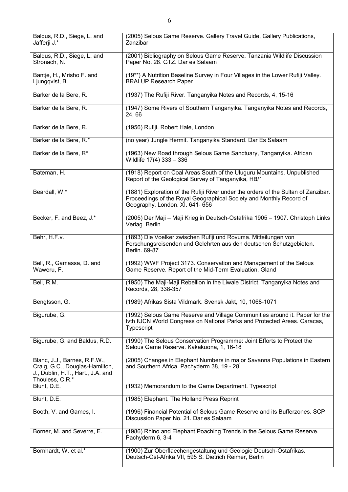| Baldus, R.D., Siege, L. and<br>Jafferji J.*                                                         | (2005) Selous Game Reserve. Gallery Travel Guide, Gallery Publications,<br>Zanzibar                                                                                                          |
|-----------------------------------------------------------------------------------------------------|----------------------------------------------------------------------------------------------------------------------------------------------------------------------------------------------|
| Baldus, R.D., Siege, L. and<br>Stronach, N.                                                         | (2001) Bibliography on Selous Game Reserve. Tanzania Wildlife Discussion<br>Paper No. 28. GTZ. Dar es Salaam                                                                                 |
| Bantje, H., Mrisho F. and<br>Ljungqvist, B.                                                         | (19**) A Nutrition Baseline Survey in Four Villages in the Lower Rufiji Valley.<br><b>BRALUP Research Paper</b>                                                                              |
| Barker de la Bere, R.                                                                               | (1937) The Rufiji River. Tanganyika Notes and Records, 4, 15-16                                                                                                                              |
| Barker de la Bere, R.                                                                               | (1947) Some Rivers of Southern Tanganyika. Tanganyika Notes and Records,<br>24,66                                                                                                            |
| Barker de la Bere, R.                                                                               | (1956) Rufiji. Robert Hale, London                                                                                                                                                           |
| Barker de la Bere, R.*                                                                              | (no year) Jungle Hermit. Tanganyika Standard. Dar Es Salaam                                                                                                                                  |
| Barker de la Bere, R*                                                                               | (1963) New Road through Selous Game Sanctuary, Tanganyika. African<br>Wildlife 17(4) 333 - 336                                                                                               |
| Bateman, H.                                                                                         | (1918) Report on Coal Areas South of the Uluguru Mountains. Unpublished<br>Report of the Geological Survey of Tanganyika, HB/1                                                               |
| Beardall, W.*                                                                                       | (1881) Exploration of the Rufiji River under the orders of the Sultan of Zanzibar.<br>Proceedings of the Royal Geographical Society and Monthly Record of<br>Geography. London. XI. 641- 656 |
| Becker, F. and Beez, J.*                                                                            | (2005) Der Maji - Maji Krieg in Deutsch-Ostafrika 1905 - 1907. Christoph Links<br>Verlag. Berlin                                                                                             |
| Behr, H.F.v.                                                                                        | (1893) Die Voelker zwischen Rufiji und Rovuma. Mitteilungen von<br>Forschungsreisenden und Gelehrten aus den deutschen Schutzgebieten.<br>Berlin. 69-87                                      |
| Bell, R., Gamassa, D. and<br>Waweru, F.                                                             | (1992) WWF Project 3173. Conservation and Management of the Selous<br>Game Reserve. Report of the Mid-Term Evaluation. Gland                                                                 |
| Bell, R.M.                                                                                          | (1950) The Maji-Maji Rebellion in the Liwale District. Tanganyika Notes and<br>Records, 28, 338-357                                                                                          |
| Bengtsson, G.                                                                                       | (1989) Afrikas Sista Vildmark. Svensk Jakt, 10, 1068-1071                                                                                                                                    |
| Bigurube, G.                                                                                        | (1992) Selous Game Reserve and Village Communities around it. Paper for the<br>Ivth IUCN World Congress on National Parks and Protected Areas. Caracas,<br>Typescript                        |
| Bigurube, G. and Baldus, R.D.                                                                       | (1990) The Selous Conservation Programme: Joint Efforts to Protect the<br>Selous Game Reserve. Kakakuona, 1, 16-18                                                                           |
| Blanc, J.J., Barnes, R.F.W.,<br>Craig, G.C., Douglas-Hamilton,<br>J., Dublin, H.T., Hart., J.A. and | (2005) Changes in Elephant Numbers in major Savanna Populations in Eastern<br>and Southern Africa. Pachyderm 38, 19 - 28                                                                     |
| Thouless, C.R.*<br>Blunt, D.E.                                                                      | (1932) Memorandum to the Game Department. Typescript                                                                                                                                         |
| Blunt, D.E.                                                                                         | (1985) Elephant. The Holland Press Reprint                                                                                                                                                   |
| Booth, V. and Games, I.                                                                             | (1996) Financial Potential of Selous Game Reserve and its Bufferzones. SCP<br>Discussion Paper No. 21. Dar es Salaam                                                                         |
| Borner, M. and Severre, E.                                                                          | (1986) Rhino and Elephant Poaching Trends in the Selous Game Reserve.<br>Pachyderm 6, 3-4                                                                                                    |
| Bornhardt, W. et al.*                                                                               | (1900) Zur Oberflaechengestaltung und Geologie Deutsch-Ostafrikas.<br>Deutsch-Ost-Afrika VII, 595 S. Dietrich Reimer, Berlin                                                                 |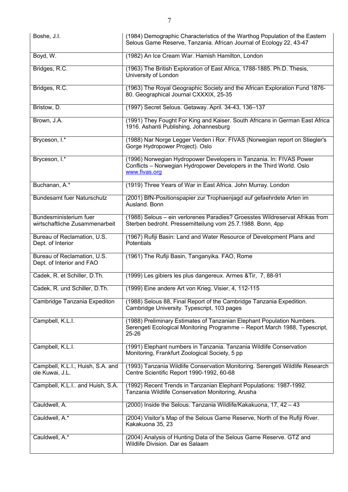| Boshe, J.I.                                              | (1984) Demographic Characteristics of the Warthog Population of the Eastern<br>Selous Game Reserve, Tanzania. African Journal of Ecology 22, 43-47            |
|----------------------------------------------------------|---------------------------------------------------------------------------------------------------------------------------------------------------------------|
| Boyd, W.                                                 | (1982) An Ice Cream War. Hamish Hamilton, London                                                                                                              |
| Bridges, R.C.                                            | (1963) The British Exploration of East Africa, 1788-1885. Ph.D. Thesis,<br>University of London                                                               |
| Bridges, R.C.                                            | (1963) The Royal Geographic Society and the African Exploration Fund 1876-<br>80. Geographical Journal CXXXIX, 25-35                                          |
| Bristow, D.                                              | (1997) Secret Selous. Getaway. April. 34-43, 136-137                                                                                                          |
| Brown, J.A.                                              | (1991) They Fought For King and Kaiser. South Africans in German East Africa<br>1916. Ashanti Publishing, Johannesburg                                        |
| Bryceson, I.*                                            | (1988) Nar Norge Legger Verden i Ror. FIVAS (Norwegian report on Stiegler's<br>Gorge Hydropower Project). Oslo                                                |
| Bryceson, I.*                                            | (1996) Norwegian Hydropower Developers in Tanzania. In: FIVAS Power<br>Conflicts - Norwegian Hydropower Developers in the Third World. Oslo<br>www.fivas.org  |
| Buchanan, A.*                                            | (1919) Three Years of War in East Africa. John Murray. London                                                                                                 |
| <b>Bundesamt fuer Naturschutz</b>                        | (2001) BfN-Positionspapier zur Trophaenjagd auf gefaehrdete Arten im<br>Ausland. Bonn                                                                         |
| Bundesministerium fuer<br>wirtschaftliche Zusammenarbeit | (1988) Selous - ein verlorenes Paradies? Groesstes Wildreservat Afrikas from<br>Sterben bedroht. Pressemitteilung vom 25.7.1988. Bonn, 4pp                    |
| Bureau of Reclamation, U.S.<br>Dept. of Interior         | (1967) Rufiji Basin: Land and Water Resource of Development Plans and<br><b>Potentials</b>                                                                    |
| Bureau of Reclamation, U.S.<br>Dept. of Interior and FAO | (1961) The Rufiji Basin, Tanganyika. FAO, Rome                                                                                                                |
| Cadek, R. et Schiller, D.Th.                             | (1999) Les gibiers les plus dangereux. Armes & Tir, 7, 88-91                                                                                                  |
| Cadek, R. und Schiller, D.Th.                            | (1999) Eine andere Art von Krieg. Visier, 4, 112-115                                                                                                          |
| Cambridge Tanzania Expediton                             | (1988) Selous 88, Final Report of the Cambridge Tanzania Expedition.<br>Cambridge University. Typescript, 103 pages                                           |
| Campbell, K.L.I.                                         | (1988) Preliminary Estimates of Tanzanian Elephant Population Numbers.<br>Serengeti Ecological Monitoring Programme - Report March 1988, Typescript,<br>25-26 |
| Campbell, K.L.I.                                         | (1991) Elephant numbers in Tanzania. Tanzania Wildlife Conservation<br>Monitoring, Frankfurt Zoological Society, 5 pp                                         |
| Campbell, K.L.I., Huish, S.A. and<br>ole Kuwai, J.L.     | (1993) Tanzania Wildlife Conservation Monitoring. Serengeti Wildlife Research<br>Centre Scientific Report 1990-1992, 60-68                                    |
| Campbell, K.L.I and Huish, S.A.                          | (1992) Recent Trends in Tanzanian Elephant Populations: 1987-1992.<br>Tanzania Wildlife Conservation Monitoring, Arusha                                       |
| Cauldwell, A.                                            | (2000) Inside the Selous. Tanzania Wildlife/Kakakuona, 17, 42 - 43                                                                                            |
| Cauldwell, A.*                                           | (2004) Visitor's Map of the Selous Game Reserve, North of the Rufiji River.<br>Kakakuona 35, 23                                                               |
| Cauldwell, A.*                                           | (2004) Analysis of Hunting Data of the Selous Game Reserve. GTZ and<br>Wildlife Division. Dar es Salaam                                                       |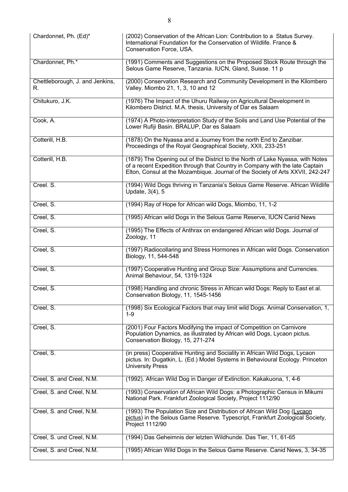| Chardonnet, Ph. (Ed)*                 | (2002) Conservation of the African Lion: Contribution to a Status Survey.<br>International Foundation for the Conservation of Wildlife. France &<br>Conservation Force, USA.                                                                     |
|---------------------------------------|--------------------------------------------------------------------------------------------------------------------------------------------------------------------------------------------------------------------------------------------------|
| Chardonnet, Ph.*                      | (1991) Comments and Suggestions on the Proposed Stock Route through the<br>Selous Game Reserve, Tanzania. IUCN, Gland, Suisse. 11 p                                                                                                              |
| Chettleborough, J. and Jenkins,<br>R. | (2000) Conservation Research and Community Development in the Kilombero<br>Valley. Miombo 21, 1, 3, 10 and 12                                                                                                                                    |
| Chitukuro, J.K.                       | (1976) The Impact of the Uhuru Railway on Agricultural Development in<br>Kilombero District. M.A. thesis, University of Dar es Salaam                                                                                                            |
| Cook, A.                              | (1974) A Photo-interpretation Study of the Soils and Land Use Potential of the<br>Lower Rufiji Basin. BRALUP, Dar es Salaam                                                                                                                      |
| Cotterill, H.B.                       | (1878) On the Nyassa and a Journey from the north End to Zanzibar.<br>Proceedings of the Royal Geographical Society, XXII, 233-251                                                                                                               |
| Cotterill, H.B.                       | (1879) The Opening out of the District to the North of Lake Nyassa, with Notes<br>of a recent Expedition through that Country in Company with the late Captain<br>Elton, Consul at the Mozambique. Journal of the Society of Arts XXVII, 242-247 |
| Creel. S.                             | (1994) Wild Dogs thriving in Tanzania's Selous Game Reserve. African Wildlife<br>Update, 3(4), 5                                                                                                                                                 |
| Creel, S.                             | (1994) Ray of Hope for African wild Dogs, Miombo, 11, 1-2                                                                                                                                                                                        |
| Creel, S.                             | (1995) African wild Dogs in the Selous Game Reserve, IUCN Canid News                                                                                                                                                                             |
| Creel, S.                             | (1995) The Effects of Anthrax on endangered African wild Dogs. Journal of<br>Zoology, 11                                                                                                                                                         |
| Creel, S.                             | (1997) Radiocollaring and Stress Hormones in African wild Dogs. Conservation<br>Biology, 11, 544-548                                                                                                                                             |
| Creel, S.                             | (1997) Cooperative Hunting and Group Size: Assumptions and Currencies.<br>Animal Behaviour, 54, 1319-1324                                                                                                                                        |
| Creel, S.                             | (1998) Handling and chronic Stress in African wild Dogs: Reply to East et al.<br>Conservation Biology, 11, 1545-1456                                                                                                                             |
| Creel, S.                             | (1998) Six Ecological Factors that may limit wild Dogs. Animal Conservation, 1,<br>$1-9$                                                                                                                                                         |
| Creel, S.                             | (2001) Four Factors Modifying the impact of Competition on Carnivore<br>Population Dynamics, as illustrated by African wild Dogs, Lycaon pictus.<br>Conservation Biology, 15, 271-274                                                            |
| Creel, S.                             | (in press) Cooperative Hunting and Sociality in African Wild Dogs, Lycaon<br>pictus. In: Dugatkin, L. (Ed.) Model Systems in Behavioural Ecology. Princeton<br><b>University Press</b>                                                           |
| Creel, S. and Creel, N.M.             | (1992). African Wild Dog in Danger of Extinction. Kakakuona, 1, 4-6                                                                                                                                                                              |
| Creel, S. and Creel, N.M.             | (1993) Conservation of African Wild Dogs: a Photographic Census in Mikumi<br>National Park. Frankfurt Zoological Society, Project 1112/90                                                                                                        |
| Creel, S. and Creel, N.M.             | (1993) The Population Size and Distribution of African Wild Dog (Lycaon<br>pictus) in the Selous Game Reserve. Typescript, Frankfurt Zoological Society,<br>Project 1112/90                                                                      |
| Creel, S. und Creel, N.M.             | (1994) Das Geheimnis der letzten Wildhunde. Das Tier, 11, 61-65                                                                                                                                                                                  |
| Creel, S. and Creel, N.M.             | (1995) African Wild Dogs in the Selous Game Reserve. Canid News, 3, 34-35                                                                                                                                                                        |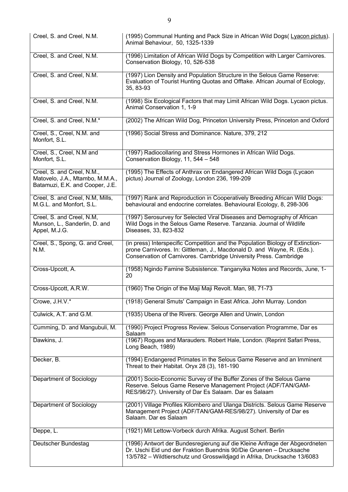| Creel, S. and Creel, N.M.                                                                        | (1995) Communal Hunting and Pack Size in African Wild Dogs(Lyacon pictus).<br>Animal Behaviour, 50, 1325-1339                                                                                                                  |
|--------------------------------------------------------------------------------------------------|--------------------------------------------------------------------------------------------------------------------------------------------------------------------------------------------------------------------------------|
| Creel, S. and Creel, N.M.                                                                        | (1996) Limitation of African Wild Dogs by Competition with Larger Carnivores.<br>Conservation Biology, 10, 526-538                                                                                                             |
| Creel, S. and Creel, N.M.                                                                        | (1997) Lion Density and Population Structure in the Selous Game Reserve:<br>Evaluation of Tourist Hunting Quotas and Offtake. African Journal of Ecology,<br>35, 83-93                                                         |
| Creel, S. and Creel, N.M.                                                                        | (1998) Six Ecological Factors that may Limit African Wild Dogs. Lycaon pictus.<br>Animal Conservation 1, 1-9                                                                                                                   |
| Creel, S. and Creel, N.M.*                                                                       | (2002) The African Wild Dog, Princeton University Press, Princeton and Oxford                                                                                                                                                  |
| Creel, S., Creel, N.M. and<br>Monfort, S.L.                                                      | (1996) Social Stress and Dominance. Nature, 379, 212                                                                                                                                                                           |
| Creel, S., Creel, N.M and<br>Monfort, S.L.                                                       | (1997) Radiocollaring and Stress Hormones in African Wild Dogs.<br>Conservation Biology, 11, 544 - 548                                                                                                                         |
| Creel, S. and Creel, N.M.,<br>Matovelo, J.A., Mtambo, M.M.A.,<br>Batamuzi, E.K. and Cooper, J.E. | (1995) The Effects of Anthrax on Endangered African Wild Dogs (Lycaon<br>pictus) Journal of Zoology, London 236, 199-209                                                                                                       |
| Creel, S. and Creel, N.M, Mills,<br>M.G.L. and Monfort, S.L.                                     | (1997) Rank and Reproduction in Cooperatively Breeding African Wild Dogs:<br>behavioural and endocrine correlates. Behavioural Ecology, 8, 298-306                                                                             |
| Creel, S. and Creel, N.M,<br>Munson, L., Sanderlin, D. and<br>Appel, M.J.G.                      | (1997) Serosurvey for Selected Viral Diseases and Demography of African<br>Wild Dogs in the Selous Game Reserve. Tanzania. Journal of Wildlife<br>Diseases, 33, 823-832                                                        |
| Creel, S., Spong, G. and Creel,<br>N.M.                                                          | (in press) Interspecific Competition and the Population Biology of Extinction-<br>prone Carnivores. In: Gittleman, J., Macdonald D. and Wayne, R. (Eds.).<br>Conservation of Carnivores. Cambridge University Press. Cambridge |
| Cross-Upcott, A.                                                                                 | (1958) Ngindo Famine Subsistence. Tanganyika Notes and Records, June, 1-<br>20                                                                                                                                                 |
| Cross-Upcott, A.R.W.                                                                             | (1960) The Origin of the Maji Maji Revolt. Man, 98, 71-73                                                                                                                                                                      |
| Crowe, J.H.V.*                                                                                   | (1918) General Smuts' Campaign in East Africa. John Murray. London                                                                                                                                                             |
| Culwick, A.T. and G.M.                                                                           | (1935) Ubena of the Rivers. George Allen and Unwin, London                                                                                                                                                                     |
| Cumming, D. and Mangubuli, M.                                                                    | (1990) Project Progress Review. Selous Conservation Programme, Dar es<br>Salaam                                                                                                                                                |
| Dawkins, J.                                                                                      | (1967) Rogues and Marauders. Robert Hale, London. (Reprint Safari Press,<br>Long Beach, 1989)                                                                                                                                  |
| Decker, B.                                                                                       | (1994) Endangered Primates in the Selous Game Reserve and an Imminent<br>Threat to their Habitat. Oryx 28 (3), 181-190                                                                                                         |
| Department of Sociology                                                                          | (2001) Socio-Economic Survey of the Buffer Zones of the Selous Game<br>Reserve. Selous Game Reserve Management Project (ADF/TAN/GAM-<br>RES/98/27). University of Dar Es Salaam. Dar es Salaam                                 |
| Department of Sociology                                                                          | (2001) Village Profiles Kilombero and Ulanga Districts. Selous Game Reserve<br>Management Project (ADF/TAN/GAM-RES/98/27). University of Dar es<br>Salaam. Dar es Salaam                                                       |
| Deppe, L.                                                                                        | (1921) Mit Lettow-Vorbeck durch Afrika. August Scherl. Berlin                                                                                                                                                                  |
| Deutscher Bundestag                                                                              | (1996) Antwort der Bundesregierung auf die Kleine Anfrage der Abgeordneten<br>Dr. Uschi Eid und der Fraktion Buendnis 90/Die Gruenen - Drucksache<br>13/5782 - Wildtierschutz und Grosswildjagd in Afrika, Drucksache 13/6083  |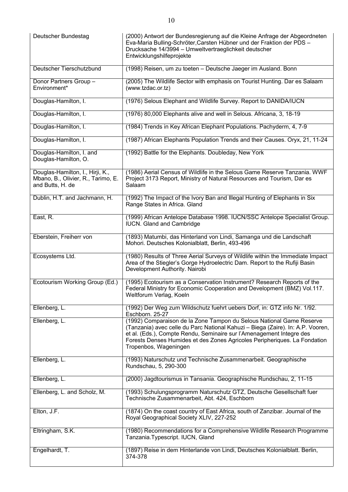| Deutscher Bundestag                                                                        | (2000) Antwort der Bundesregierung auf die Kleine Anfrage der Abgeordneten<br>Eva-Maria Bulling-Schröter, Carsten Hübner und der Fraktion der PDS -<br>Drucksache 14/3994 - Umweltvertraeglichkeit deutscher<br>Entwicklungshilfeprojekte                                                                                             |
|--------------------------------------------------------------------------------------------|---------------------------------------------------------------------------------------------------------------------------------------------------------------------------------------------------------------------------------------------------------------------------------------------------------------------------------------|
| Deutscher Tierschutzbund                                                                   | (1998) Reisen, um zu toeten - Deutsche Jaeger im Ausland. Bonn                                                                                                                                                                                                                                                                        |
| Donor Partners Group -<br>Environment*                                                     | (2005) The Wildlife Sector with emphasis on Tourist Hunting. Dar es Salaam<br>(www.tzdac.or.tz)                                                                                                                                                                                                                                       |
| Douglas-Hamilton, I.                                                                       | (1976) Selous Elephant and Wildlife Survey. Report to DANIDA/IUCN                                                                                                                                                                                                                                                                     |
| Douglas-Hamilton, I.                                                                       | (1976) 80,000 Elephants alive and well in Selous. Africana, 3, 18-19                                                                                                                                                                                                                                                                  |
| Douglas-Hamilton, I.                                                                       | (1984) Trends in Key African Elephant Populations. Pachyderm, 4, 7-9                                                                                                                                                                                                                                                                  |
| Douglas-Hamilton, I.                                                                       | (1987) African Elephants Population Trends and their Causes. Oryx, 21, 11-24                                                                                                                                                                                                                                                          |
| Douglas-Hamilton, I. and<br>Douglas-Hamilton, O.                                           | (1992) Battle for the Elephants. Doubleday, New York                                                                                                                                                                                                                                                                                  |
| Douglas-Hamilton, I., Hirji, K.,<br>Mbano, B., Olivier, R., Tarimo, E.<br>and Butts, H. de | (1986) Aerial Census of Wildlife in the Selous Game Reserve Tanzania. WWF<br>Project 3173 Report, Ministry of Natural Resources and Tourism, Dar es<br>Salaam                                                                                                                                                                         |
| Dublin, H.T. and Jachmann, H.                                                              | (1992) The Impact of the Ivory Ban and Illegal Hunting of Elephants in Six<br>Range States in Africa. Gland                                                                                                                                                                                                                           |
| East, R.                                                                                   | (1999) African Antelope Database 1998. IUCN/SSC Antelope Specialist Group.<br><b>IUCN.</b> Gland and Cambridge                                                                                                                                                                                                                        |
| Eberstein, Freiherr von                                                                    | (1893) Matumbi, das Hinterland von Lindi, Samanga und die Landschaft<br>Mohori. Deutsches Kolonialblatt, Berlin, 493-496                                                                                                                                                                                                              |
| Ecosystems Ltd.                                                                            | (1980) Results of Three Aerial Surveys of Wildlife within the Immediate Impact<br>Area of the Stiegler's Gorge Hydroelectric Dam. Report to the Rufiji Basin<br>Development Authority. Nairobi                                                                                                                                        |
| Ecotourism Working Group (Ed.)                                                             | (1995) Ecotourism as a Conservation Instrument? Research Reports of the<br>Federal Ministry for Economic Cooperation and Development (BMZ) Vol.117.<br>Weltforum Verlag, Koeln                                                                                                                                                        |
| Ellenberg, L.                                                                              | (1992) Der Weg zum Wildschutz fuehrt uebers Dorf, in: GTZ info Nr. 1/92.<br>Eschborn. 25-27                                                                                                                                                                                                                                           |
| Ellenberg, L.                                                                              | (1992) Comparaison de la Zone Tampon du Selous National Game Reserve<br>(Tanzania) avec celle du Parc National Kahuzi - Biega (Zaire). In: A.P. Vooren,<br>et al. (Eds.), Compte Rendu, Seminaire sur l'Amenagement Integre des<br>Forests Denses Humides et des Zones Agricoles Peripheriques. La Fondation<br>Tropenbos, Wageningen |
| Ellenberg, L.                                                                              | (1993) Naturschutz und Technische Zusammenarbeit. Geographische<br>Rundschau, 5, 290-300                                                                                                                                                                                                                                              |
| Ellenberg, L.                                                                              | (2000) Jagdtourismus in Tansania. Geographische Rundschau, 2, 11-15                                                                                                                                                                                                                                                                   |
| Ellenberg, L. and Scholz, M.                                                               | (1993) Schulungsprogramm Naturschutz GTZ, Deutsche Gesellschaft fuer<br>Technische Zusammenarbeit, Abt. 424, Eschborn                                                                                                                                                                                                                 |
| Elton, J.F.                                                                                | (1874) On the coast country of East Africa, south of Zanzibar. Journal of the<br>Royal Geographical Society XLIV, 227-252                                                                                                                                                                                                             |
| Eltringham, S.K.                                                                           | (1980) Recommendations for a Comprehensive Wildlife Research Programme<br>Tanzania.Typescript. IUCN, Gland                                                                                                                                                                                                                            |
| Engelhardt, T.                                                                             | (1897) Reise in dem Hinterlande von Lindi, Deutsches Kolonialblatt. Berlin,<br>374-378                                                                                                                                                                                                                                                |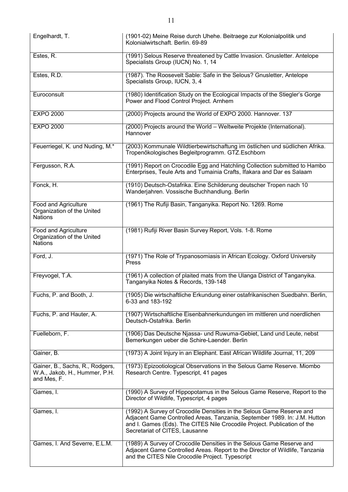| Engelhardt, T.                                                                  | (1901-02) Meine Reise durch Uhehe. Beitraege zur Kolonialpolitik und<br>Kolonialwirtschaft, Berlin, 69-89                                                                                                                                                        |
|---------------------------------------------------------------------------------|------------------------------------------------------------------------------------------------------------------------------------------------------------------------------------------------------------------------------------------------------------------|
| Estes, R.                                                                       | (1991) Selous Reserve threatened by Cattle Invasion. Gnusletter. Antelope<br>Specialists Group (IUCN) No. 1, 14                                                                                                                                                  |
| Estes, R.D.                                                                     | (1987). The Roosevelt Sable: Safe in the Selous? Gnusletter, Antelope<br>Specialists Group, IUCN, 3, 4                                                                                                                                                           |
| Euroconsult                                                                     | (1980) Identification Study on the Ecological Impacts of the Stiegler's Gorge<br>Power and Flood Control Project. Arnhem                                                                                                                                         |
| <b>EXPO 2000</b>                                                                | (2000) Projects around the World of EXPO 2000. Hannover. 137                                                                                                                                                                                                     |
| <b>EXPO 2000</b>                                                                | (2000) Projects around the World - Weltweite Projekte (International).<br>Hannover                                                                                                                                                                               |
| Feuerriegel, K. und Nuding, M.*                                                 | (2003) Kommunale Wildtierbewirtschaftung im östlichen und südlichen Afrika.<br>Tropenőkologisches Begleitprogramm. GTZ.Eschborn                                                                                                                                  |
| Fergusson, R.A.                                                                 | (1991) Report on Crocodile Egg and Hatchling Collection submitted to Hambo<br>Enterprises, Teule Arts and Tumainia Crafts, Ifakara and Dar es Salaam                                                                                                             |
| Fonck, H.                                                                       | (1910) Deutsch-Ostafrika. Eine Schilderung deutscher Tropen nach 10<br>Wanderjahren. Vossische Buchhandlung. Berlin                                                                                                                                              |
| Food and Agriculture<br>Organization of the United<br><b>Nations</b>            | (1961) The Rufiji Basin, Tanganyika. Report No. 1269. Rome                                                                                                                                                                                                       |
| Food and Agriculture<br>Organization of the United<br><b>Nations</b>            | (1981) Rufiji River Basin Survey Report, Vols. 1-8. Rome                                                                                                                                                                                                         |
| Ford, J.                                                                        | (1971) The Role of Trypanosomiasis in African Ecology. Oxford University<br>Press                                                                                                                                                                                |
| Freyvogel, T.A.                                                                 | (1961) A collection of plaited mats from the Ulanga District of Tanganyika.<br>Tanganyika Notes & Records, 139-148                                                                                                                                               |
| Fuchs, P. and Booth, J.                                                         | (1905) Die wirtschaftliche Erkundung einer ostafrikanischen Suedbahn. Berlin,<br>6-33 and 183-192                                                                                                                                                                |
| Fuchs, P. and Hauter, A.                                                        | (1907) Wirtschaftliche Eisenbahnerkundungen im mittleren und noerdlichen<br>Deutsch-Ostafrika. Berlin                                                                                                                                                            |
| Fuelleborn, F.                                                                  | (1906) Das Deutsche Njassa- und Ruwuma-Gebiet, Land und Leute, nebst<br>Bemerkungen ueber die Schire-Laender. Berlin                                                                                                                                             |
| Gainer, B.                                                                      | (1973) A Joint Injury in an Elephant. East African Wildlife Journal, 11, 209                                                                                                                                                                                     |
| Gainer, B., Sachs, R., Rodgers,<br>W.A., Jakob, H., Hummer, P.H.<br>and Mes, F. | (1973) Epizootiological Observations in the Selous Game Reserve. Miombo<br>Research Centre. Typescript, 41 pages                                                                                                                                                 |
| Games, I.                                                                       | (1990) A Survey of Hippopotamus in the Selous Game Reserve, Report to the<br>Director of Wildlife, Typescript, 4 pages                                                                                                                                           |
| Games, I.                                                                       | (1992) A Survey of Crocodile Densities in the Selous Game Reserve and<br>Adjacent Game Controlled Areas, Tanzania, September 1989. In: J.M. Hutton<br>and I. Games (Eds). The CITES Nile Crocodile Project. Publication of the<br>Secretariat of CITES, Lausanne |
| Games, I. And Severre, E.L.M.                                                   | (1989) A Survey of Crocodile Densities in the Selous Game Reserve and<br>Adjacent Game Controlled Areas. Report to the Director of Wildlife, Tanzania<br>and the CITES Nile Crocodile Project. Typescript                                                        |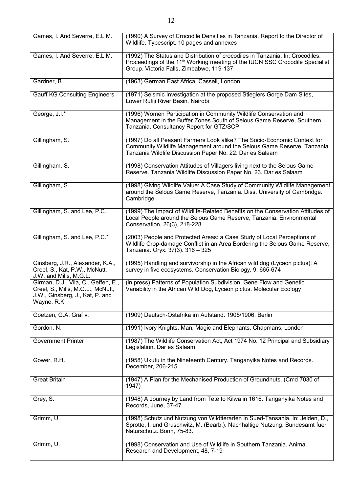| Games, I. And Severre, E.L.M.                                                                                              | (1990) A Survey of Crocodile Densities in Tanzania. Report to the Director of<br>Wildlife. Typescript. 10 pages and annexes                                                                                           |
|----------------------------------------------------------------------------------------------------------------------------|-----------------------------------------------------------------------------------------------------------------------------------------------------------------------------------------------------------------------|
| Games, I. And Severre, E.L.M.                                                                                              | (1992) The Status and Distribution of crocodiles in Tanzania. In: Crocodiles.<br>Proceedings of the 11 <sup>th</sup> Working meeting of the IUCN SSC Crocodile Specialist<br>Group. Victoria Falls, Zimbabwe, 119-137 |
| Gardner, B.                                                                                                                | (1963) German East Africa. Cassell, London                                                                                                                                                                            |
| <b>Gauff KG Consulting Engineers</b>                                                                                       | (1971) Seismic Investigation at the proposed Stieglers Gorge Dam Sites,<br>Lower Rufiji River Basin. Nairobi                                                                                                          |
| George, J.I.*                                                                                                              | (1996) Women Participation in Community Wildlife Conservation and<br>Management in the Buffer Zones South of Selous Game Reserve, Southern<br>Tanzania. Consultancy Report for GTZ/SCP                                |
| Gillingham, S.                                                                                                             | (1997) Do all Peasant Farmers Look alike? The Socio-Economic Context for<br>Community Wildlife Management around the Selous Game Reserve, Tanzania.<br>Tanzania Wildlife Discussion Paper No. 22. Dar es Salaam       |
| Gillingham, S.                                                                                                             | (1998) Conservation Attitudes of Villagers living next to the Selous Game<br>Reserve. Tanzania Wildlife Discussion Paper No. 23. Dar es Salaam                                                                        |
| Gillingham, S.                                                                                                             | (1998) Giving Wildlife Value: A Case Study of Community Wildlife Management<br>around the Selous Game Reserve, Tanzania. Diss. University of Cambridge.<br>Cambridge                                                  |
| Gillingham, S. and Lee, P.C.                                                                                               | (1999) The Impact of Wildlife-Related Benefits on the Conservation Attitudes of<br>Local People around the Selous Game Reserve, Tanzania. Environmental<br>Conservation, 26(3), 218-228                               |
| Gillingham, S. and Lee, P.C.*                                                                                              | (2003) People and Protected Areas: a Case Study of Local Perceptions of<br>Wildlife Crop-damage Conflict in an Area Bordering the Selous Game Reserve,<br>Tanzania. Oryx. 37(3). 316 - 325                            |
| Ginsberg, J.R., Alexander, K.A.,<br>Creel, S., Kat, P.W., McNutt,<br>J.W. and Mills, M.G.L.                                | (1995) Handling and survivorship in the African wild dog (Lycaon pictus): A<br>survey in five ecosystems. Conservation Biology, 9, 665-674                                                                            |
| Girman, D.J., Vila, C., Geffen, E.,<br>Creel, S., Mills, M.G.L., McNutt,<br>J.W., Ginsberg, J., Kat, P. and<br>Wayne, R.K. | (in press) Patterns of Population Subdivision, Gene Flow and Genetic<br>Variability in the African Wild Dog, Lycaon pictus. Molecular Ecology                                                                         |
| Goetzen, G.A. Graf v.                                                                                                      | (1909) Deutsch-Ostafrika im Aufstand. 1905/1906. Berlin                                                                                                                                                               |
| Gordon, N.                                                                                                                 | (1991) Ivory Knights. Man, Magic and Elephants. Chapmans, London                                                                                                                                                      |
| Government Printer                                                                                                         | (1987) The Wildlife Conservation Act, Act 1974 No. 12 Principal and Subsidiary<br>Legislation. Dar es Salaam                                                                                                          |
| Gower, R.H.                                                                                                                | (1958) Ukutu in the Nineteenth Century. Tanganyika Notes and Records.<br>December, 206-215                                                                                                                            |
| <b>Great Britain</b>                                                                                                       | (1947) A Plan for the Mechanised Production of Groundnuts. (Cmd 7030 of<br>1947)                                                                                                                                      |
| Grey, S.                                                                                                                   | (1948) A Journey by Land from Tete to Kilwa in 1616. Tanganyika Notes and<br>Records, June, 37-47                                                                                                                     |
| Grimm, U.                                                                                                                  | (1998) Schutz und Nutzung von Wildtierarten in Sued-Tansania. In: Jelden, D.,<br>Sprotte, I. und Gruschwitz, M. (Bearb.). Nachhaltige Nutzung. Bundesamt fuer<br>Naturschutz. Bonn, 75-83.                            |
| Grimm, U.                                                                                                                  | (1998) Conservation and Use of Wildlife in Southern Tanzania. Animal<br>Research and Development, 48, 7-19                                                                                                            |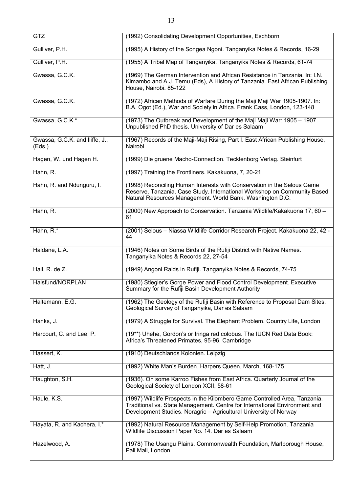| <b>GTZ</b>                               | (1992) Consolidating Development Opportunities, Eschborn                                                                                                                                                                      |
|------------------------------------------|-------------------------------------------------------------------------------------------------------------------------------------------------------------------------------------------------------------------------------|
| Gulliver, P.H.                           | (1995) A History of the Songea Ngoni. Tanganyika Notes & Records, 16-29                                                                                                                                                       |
| Gulliver, P.H.                           | (1955) A Tribal Map of Tanganyika. Tanganyika Notes & Records, 61-74                                                                                                                                                          |
| Gwassa, G.C.K.                           | (1969) The German Intervention and African Resistance in Tanzania. In: I.N.<br>Kimambo and A.J. Temu (Eds), A History of Tanzania. East African Publishing<br>House, Nairobi. 85-122                                          |
| Gwassa, G.C.K.                           | (1972) African Methods of Warfare During the Maji Maji War 1905-1907. In:<br>B.A. Ogot (Ed.), War and Society in Africa. Frank Cass, London, 123-148                                                                          |
| Gwassa, G.C.K.*                          | (1973) The Outbreak and Development of the Maji Maji War: 1905 - 1907.<br>Unpublished PhD thesis. University of Dar es Salaam                                                                                                 |
| Gwassa, G.C.K. and Iliffe, J.,<br>(Eds.) | (1967) Records of the Maji-Maji Rising, Part I. East African Publishing House,<br>Nairobi                                                                                                                                     |
| Hagen, W. und Hagen H.                   | (1999) Die gruene Macho-Connection. Tecklenborg Verlag. Steinfurt                                                                                                                                                             |
| Hahn, R.                                 | (1997) Training the Frontliners. Kakakuona, 7, 20-21                                                                                                                                                                          |
| Hahn, R. and Ndunguru, I.                | (1998) Reconciling Human Interests with Conservation in the Selous Game<br>Reserve, Tanzania. Case Study. International Workshop on Community Based<br>Natural Resources Management. World Bank. Washington D.C.              |
| Hahn, R.                                 | (2000) New Approach to Conservation. Tanzania Wildlife/Kakakuona 17, 60 -<br>61                                                                                                                                               |
| Hahn, R.*                                | (2001) Selous - Niassa Wildlife Corridor Research Project. Kakakuona 22, 42 -<br>44                                                                                                                                           |
| Haldane, L.A.                            | (1946) Notes on Some Birds of the Rufiji District with Native Names.<br>Tanganyika Notes & Records 22, 27-54                                                                                                                  |
| Hall, R. de $\overline{Z}$ .             | (1949) Angoni Raids in Rufiji. Tanganyika Notes & Records, 74-75                                                                                                                                                              |
| Halsfund/NORPLAN                         | (1980) Stiegler's Gorge Power and Flood Control Development. Executive<br>Summary for the Rufiji Basin Development Authority                                                                                                  |
| Haltemann, E.G.                          | (1962) The Geology of the Rufiji Basin with Reference to Proposal Dam Sites.<br>Geological Survey of Tanganyika, Dar es Salaam                                                                                                |
| Hanks, J.                                | (1979) A Struggle for Survival. The Elephant Problem. Country Life, London                                                                                                                                                    |
| Harcourt, C. and Lee, P.                 | (19**) Uhehe, Gordon's or Iringa red colobus. The IUCN Red Data Book:<br>Africa's Threatened Primates, 95-96, Cambridge                                                                                                       |
| Hassert, K.                              | (1910) Deutschlands Kolonien. Leipzig                                                                                                                                                                                         |
| Hatt, J.                                 | (1992) White Man's Burden. Harpers Queen, March, 168-175                                                                                                                                                                      |
| Haughton, S.H.                           | (1936). On some Karroo Fishes from East Africa. Quarterly Journal of the<br>Geological Society of London XCII, 58-61                                                                                                          |
| Haule, K.S.                              | (1997) Wildlife Prospects in the Kilombero Game Controlled Area, Tanzania.<br>Traditional vs. State Management. Centre for International Environment and<br>Development Studies. Noragric - Agricultural University of Norway |
| Hayata, R. and Kachera, I.*              | (1992) Natural Resource Management by Self-Help Promotion. Tanzania<br>Wildlife Discussion Paper No. 14. Dar es Salaam                                                                                                        |
| Hazelwood, A.                            | (1978) The Usangu Plains. Commonwealth Foundation, Marlborough House,<br>Pall Mall, London                                                                                                                                    |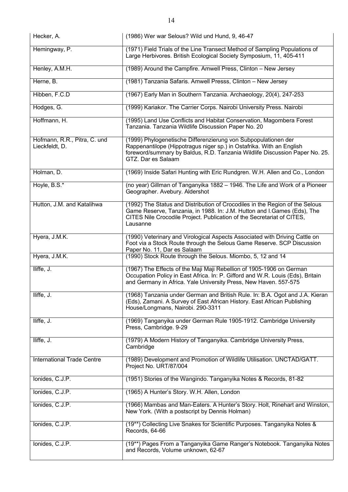| Hecker, A.                                     | (1986) Wer war Selous? Wild und Hund, 9, 46-47                                                                                                                                                                                                |
|------------------------------------------------|-----------------------------------------------------------------------------------------------------------------------------------------------------------------------------------------------------------------------------------------------|
| Hemingway, P.                                  | (1971) Field Trials of the Line Transect Method of Sampling Populations of<br>Large Herbivores. British Ecological Society Symposium, 11, 405-411                                                                                             |
| Henley, A.M.H.                                 | (1989) Around the Campfire. Amwell Press, Clinton - New Jersey                                                                                                                                                                                |
| Herne, B.                                      | (1981) Tanzania Safaris. Amwell Presss, Clinton - New Jersey                                                                                                                                                                                  |
| Hibben, F.C.D                                  | (1967) Early Man in Southern Tanzania. Archaeology, 20(4), 247-253                                                                                                                                                                            |
| Hodges, G.                                     | (1999) Kariakor. The Carrier Corps. Nairobi University Press. Nairobi                                                                                                                                                                         |
| Hoffmann, H.                                   | (1995) Land Use Conflicts and Habitat Conservation, Magombera Forest<br>Tanzania. Tanzania Wildlife Discussion Paper No. 20                                                                                                                   |
| Hofmann, R.R., Pitra, C. und<br>Lieckfeldt, D. | (1999) Phylogenetische Differenzierung von Subpopulationen der<br>Rappenantilope (Hippotragus niger sp.) in Ostafrika. With an English<br>foreword/summary by Baldus, R.D. Tanzania Wildlife Discussion Paper No. 25.<br>GTZ. Dar es Salaam   |
| Holman, D.                                     | (1969) Inside Safari Hunting with Eric Rundgren. W.H. Allen and Co., London                                                                                                                                                                   |
| Hoyle, B.S.*                                   | (no year) Gillman of Tanganyika 1882 - 1946. The Life and Work of a Pioneer<br>Geographer. Avebury. Aldershot                                                                                                                                 |
| Hutton, J.M. and Katalihwa                     | (1992) The Status and Distribution of Crocodiles in the Region of the Selous<br>Game Reserve, Tanzania, in 1988. In: J.M. Hutton and I.Games (Eds), The<br>CITES Nile Crocodile Project. Publication of the Secretariat of CITES,<br>Lausanne |
| Hyera, J.M.K.                                  | (1990) Veterinary and Virological Aspects Associated with Driving Cattle on<br>Foot via a Stock Route through the Selous Game Reserve. SCP Discussion<br>Paper No. 11, Dar es Salaam                                                          |
| Hyera, J.M.K.                                  | (1990) Stock Route through the Selous. Miombo, 5, 12 and 14                                                                                                                                                                                   |
| Iliffe, J.                                     | (1967) The Effects of the Maji Maji Rebellion of 1905-1906 on German<br>Occupation Policy in East Africa. In: P. Gifford and W.R. Louis (Eds), Britain<br>and Germany in Africa. Yale University Press, New Haven. 557-575                    |
| Iliffe, J.                                     | (1968) Tanzania under German and British Rule. In: B.A. Ogot and J.A. Kieran<br>(Eds), Zamani. A Survey of East African History. East African Publishing<br>House/Longmans, Nairobi. 290-3311                                                 |
| Iliffe, J.                                     | (1969) Tanganyika under German Rule 1905-1912. Cambridge University<br>Press, Cambridge. 9-29                                                                                                                                                 |
| Iliffe, J.                                     | (1979) A Modern History of Tanganyika. Cambridge University Press,<br>Cambridge                                                                                                                                                               |
| International Trade Centre                     | (1989) Development and Promotion of Wildlife Utilisation. UNCTAD/GATT.<br>Project No. URT/87/004                                                                                                                                              |
| Ionides, C.J.P.                                | (1951) Stories of the Wangindo. Tanganyika Notes & Records, 81-82                                                                                                                                                                             |
| lonides, C.J.P.                                | (1965) A Hunter's Story. W.H. Allen, London                                                                                                                                                                                                   |
| lonides, C.J.P.                                | (1966) Mambas and Man-Eaters. A Hunter's Story. Holt, Rinehart and Winston,<br>New York. (With a postscript by Dennis Holman)                                                                                                                 |
| lonides, C.J.P.                                | (19**) Collecting Live Snakes for Scientific Purposes. Tanganyika Notes &<br>Records, 64-66                                                                                                                                                   |
| lonides, C.J.P.                                | (19**) Pages From a Tanganyika Game Ranger's Notebook. Tanganyika Notes<br>and Records, Volume unknown, 62-67                                                                                                                                 |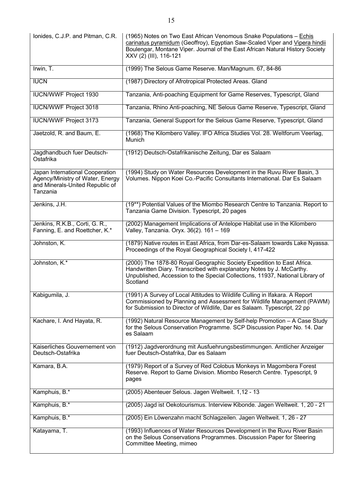| lonides, C.J.P. and Pitman, C.R.                                                                                   | (1965) Notes on Two East African Venomous Snake Populations - Echis<br>carinatus pyramidum (Geoffroy), Egyptian Saw-Scaled Viper and Vipera hindii<br>Boulengar, Montane Viper. Journal of the East African Natural History Society<br>XXV (2) (III), 116-121 |
|--------------------------------------------------------------------------------------------------------------------|---------------------------------------------------------------------------------------------------------------------------------------------------------------------------------------------------------------------------------------------------------------|
| Irwin, T.                                                                                                          | (1999) The Selous Game Reserve. Man/Magnum. 67, 84-86                                                                                                                                                                                                         |
| <b>IUCN</b>                                                                                                        | (1987) Directory of Afrotropical Protected Areas. Gland                                                                                                                                                                                                       |
| <b>IUCN/WWF Project 1930</b>                                                                                       | Tanzania, Anti-poaching Equipment for Game Reserves, Typescript, Gland                                                                                                                                                                                        |
| <b>IUCN/WWF Project 3018</b>                                                                                       | Tanzania, Rhino Anti-poaching, NE Selous Game Reserve, Typescript, Gland                                                                                                                                                                                      |
| <b>IUCN/WWF Project 3173</b>                                                                                       | Tanzania, General Support for the Selous Game Reserve, Typescript, Gland                                                                                                                                                                                      |
| Jaetzold, R. and Baum, E.                                                                                          | (1968) The Kilombero Valley. IFO Africa Studies Vol. 28. Weltforum Veerlag,<br><b>Munich</b>                                                                                                                                                                  |
| Jagdhandbuch fuer Deutsch-<br>Ostafrika                                                                            | (1912) Deutsch-Ostafrikanische Zeitung, Dar es Salaam                                                                                                                                                                                                         |
| Japan International Cooperation<br>Agency/Ministry of Water, Energy<br>and Minerals-United Republic of<br>Tanzania | (1994) Study on Water Resources Development in the Ruvu River Basin, 3<br>Volumes. Nippon Koei Co.-Pacific Consultants International. Dar Es Salaam                                                                                                           |
| Jenkins, J.H.                                                                                                      | (19**) Potential Values of the Miombo Research Centre to Tanzania. Report to<br>Tanzania Game Division. Typescript, 20 pages                                                                                                                                  |
| Jenkins, R.K.B., Corti, G. R.,<br>Fanning, E. and Roettcher, K.*                                                   | (2002) Management Implications of Antelope Habitat use in the Kilombero<br>Valley, Tanzania. Oryx. 36(2). 161 - 169                                                                                                                                           |
| Johnston, K.                                                                                                       | (1879) Native routes in East Africa, from Dar-es-Salaam towards Lake Nyassa.<br>Proceedings of the Royal Geographical Society I, 417-422                                                                                                                      |
| Johnston, K.*                                                                                                      | (2000) The 1878-80 Royal Geographic Society Expedition to East Africa.<br>Handwritten Diary. Transcribed with explanatory Notes by J. McCarthy.<br>Unpublished, Accession to the Special Collections, 11937, National Library of<br>Scotland                  |
| Kabigumila, J.                                                                                                     | (1991) A Survey of Local Attitudes to Wildlife Culling in Ifakara. A Report<br>Commissioned by Planning and Assessment for Wildlife Management (PAWM)<br>for Submission to Director of Wildlife, Dar es Salaam. Typescript, 22 pp                             |
| Kachare, I. And Hayata, R.                                                                                         | (1992) Natural Resource Management by Self-help Promotion - A Case Study<br>for the Selous Conservation Programme. SCP Discussion Paper No. 14. Dar<br>es Salaam                                                                                              |
| Kaiserliches Gouvernement von<br>Deutsch-Ostafrika                                                                 | (1912) Jagdverordnung mit Ausfuehrungsbestimmungen. Amtlicher Anzeiger<br>fuer Deutsch-Ostafrika, Dar es Salaam                                                                                                                                               |
| Kamara, B.A.                                                                                                       | (1979) Report of a Survey of Red Colobus Monkeys in Magombera Forest<br>Reserve. Report to Game Division. Miombo Reserch Centre. Typescript, 9<br>pages                                                                                                       |
| Kamphuis, B.*                                                                                                      | (2005) Abenteuer Selous. Jagen Weltweit. 1,12 - 13                                                                                                                                                                                                            |
| Kamphuis, B.*                                                                                                      | (2005) Jagd ist Oekotourismus. Interview Kibonde. Jagen Weltweit. 1, 20 - 21                                                                                                                                                                                  |
| Kamphuis, B.*                                                                                                      | (2005) Ein Löwenzahn macht Schlagzeilen. Jagen Weltweit. 1, 26 - 27                                                                                                                                                                                           |
| Katayama, T.                                                                                                       | (1993) Influences of Water Resources Development in the Ruvu River Basin<br>on the Selous Conservations Programmes. Discussion Paper for Steering<br>Committee Meeting, mimeo                                                                                 |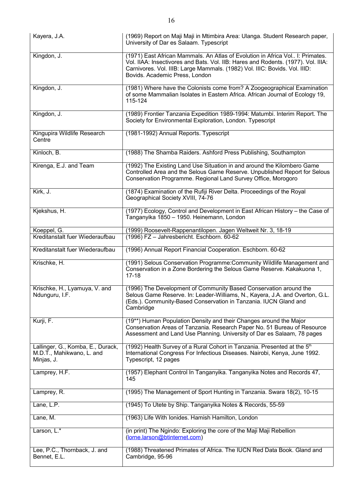| Kayera, J.A.                                                                 | (1969) Report on Maji Maji in Mtimbira Area: Ulanga. Student Research paper,<br>University of Dar es Salaam. Typescript                                                                                                                                                            |
|------------------------------------------------------------------------------|------------------------------------------------------------------------------------------------------------------------------------------------------------------------------------------------------------------------------------------------------------------------------------|
| Kingdon, J.                                                                  | (1971) East African Mammals. An Atlas of Evolution in Africa Vol I: Primates.<br>Vol. IIAA: Insectivores and Bats. Vol. IIB: Hares and Rodents. (1977). Vol. IIIA:<br>Carnivores. Vol. IIIB: Large Mammals. (1982) Vol. IIIC: Bovids. Vol. IIID:<br>Bovids. Academic Press, London |
| Kingdon, J.                                                                  | (1981) Where have the Colonists come from? A Zoogeographical Examination<br>of some Mammalian Isolates in Eastern Africa. African Journal of Ecology 19,<br>115-124                                                                                                                |
| Kingdon, J.                                                                  | (1989) Frontier Tanzania Expedition 1989-1994: Matumbi. Interim Report. The<br>Society for Environmental Exploration, London. Typescript                                                                                                                                           |
| Kingupira Wildlife Research<br>Centre                                        | (1981-1992) Annual Reports. Typescript                                                                                                                                                                                                                                             |
| Kinloch, B.                                                                  | (1988) The Shamba Raiders. Ashford Press Publishing, Southampton                                                                                                                                                                                                                   |
| Kirenga, E.J. and Team                                                       | (1992) The Existing Land Use Situation in and around the Kilombero Game<br>Controlled Area and the Selous Game Reserve. Unpublished Report for Selous<br>Conservation Programme. Regional Land Survey Office, Morogoro                                                             |
| Kirk, J.                                                                     | (1874) Examination of the Rufiji River Delta. Proceedings of the Royal<br>Geographical Society XVIII, 74-76                                                                                                                                                                        |
| Kjekshus, H.                                                                 | (1977) Ecology, Control and Development in East African History - the Case of<br>Tanganyika 1850 - 1950. Heinemann, London                                                                                                                                                         |
| Koeppel, G.<br>Kreditanstalt fuer Wiederaufbau                               | (1999) Roosevelt-Rappenantilopen. Jagen Weltweit Nr. 3, 18-19<br>(1996) FZ - Jahresbericht. Eschborn. 60-62                                                                                                                                                                        |
| Kreditanstalt fuer Wiederaufbau                                              | (1996) Annual Report Financial Cooperation. Eschborn. 60-62                                                                                                                                                                                                                        |
| Krischke, H.                                                                 | (1991) Selous Conservation Programme: Community Wildlife Management and<br>Conservation in a Zone Bordering the Selous Game Reserve. Kakakuona 1,<br>$17 - 18$                                                                                                                     |
| Krischke, H., Lyamuya, V. and<br>Ndunguru, I.F.                              | (1996) The Development of Community Based Conservation around the<br>Selous Game Reserve. In: Leader-Williams, N., Kayera, J.A. and Overton, G.L.<br>(Eds.). Community-Based Conservation in Tanzania. IUCN Gland and<br>Cambridge                                                 |
| Kurji, F.                                                                    | (19**) Human Population Density and their Changes around the Major<br>Conservation Areas of Tanzania. Research Paper No. 51 Bureau of Resource<br>Assessment and Land Use Planning. University of Dar es Salaam, 78 pages                                                          |
| Lallinger, G., Komba, E., Durack,<br>M.D.T., Mahikwano, L. and<br>Minjas, J. | (1992) Health Survey of a Rural Cohort in Tanzania. Presented at the 5th<br>International Congress For Infectious Diseases. Nairobi, Kenya, June 1992.<br>Typescript, 12 pages                                                                                                     |
| Lamprey, H.F.                                                                | (1957) Elephant Control In Tanganyika. Tanganyika Notes and Records 47,<br>145                                                                                                                                                                                                     |
| Lamprey, R.                                                                  | (1995) The Management of Sport Hunting in Tanzania. Swara 18(2), 10-15                                                                                                                                                                                                             |
| Lane, L.P.                                                                   | (1945) To Utete by Ship. Tanganyika Notes & Records, 55-59                                                                                                                                                                                                                         |
| Lane, M.                                                                     | (1963) Life With Ionides. Hamish Hamilton, London                                                                                                                                                                                                                                  |
| Larson, L.*                                                                  | (in print) The Ngindo: Exploring the core of the Maji Maji Rebellion<br>(lorne.larson@btinternet.com)                                                                                                                                                                              |
| Lee, P.C., Thornback, J. and<br>Bennet, E.L.                                 | (1988) Threatened Primates of Africa. The IUCN Red Data Book. Gland and<br>Cambridge, 95-96                                                                                                                                                                                        |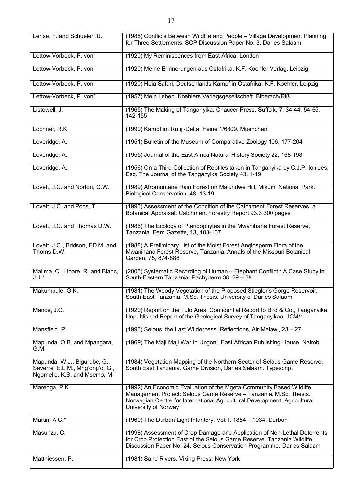| Lerise, F. and Schueler, U.                                                                     | (1988) Conflicts Between Wildlife and People - Village Development Planning<br>for Three Settlements. SCP Discussion Paper No. 3, Dar es Salaam                                                                                               |
|-------------------------------------------------------------------------------------------------|-----------------------------------------------------------------------------------------------------------------------------------------------------------------------------------------------------------------------------------------------|
| Lettow-Vorbeck, P. von                                                                          | (1920) My Reminiscences from East Africa. London                                                                                                                                                                                              |
| Lettow-Vorbeck, P. von                                                                          | (1920) Meine Erinnerungen aus Ostafrika. K.F. Koehler Verlag. Leipzig                                                                                                                                                                         |
| Lettow-Vorbeck, P. von                                                                          | (1920) Heia Safari, Deutschlands Kampf in Ostafrika. K.F. Koehler, Leipzig                                                                                                                                                                    |
| Lettow-Vorbeck, P. von*                                                                         | (1957) Mein Leben. Koehlers Verlagsgesellschaft. Biberach/Riß                                                                                                                                                                                 |
| Listowell, J.                                                                                   | (1965) The Making of Tanganyika. Chaucer Press, Suffolk. 7, 34-44, 54-65,<br>142-155                                                                                                                                                          |
| Lochner, R.K.                                                                                   | (1990) Kampf im Rufiji-Delta. Heine 1/6809. Muenchen                                                                                                                                                                                          |
| Loveridge, A.                                                                                   | (1951) Bulletin of the Museum of Comparative Zoology 106, 177-204                                                                                                                                                                             |
| Loveridge, A.                                                                                   | (1955) Journal of the East Africa Natural History Society 22, 168-198                                                                                                                                                                         |
| Loveridge, A.                                                                                   | (1956) On a Third Collection of Reptiles taken in Tanganyika by C.J.P. lonides,<br>Esq. The Journal of the Tanganyika Society 43, 1-19                                                                                                        |
| Lovett, J.C. and Norton, G.W.                                                                   | (1989) Afromontane Rain Forest on Malundwe Hill, Mikumi National Park.<br>Biological Conservation, 48, 13-19                                                                                                                                  |
| Lovett, J.C. and Pocs, T.                                                                       | (1993) Assessment of the Condition of the Catchment Forest Reserves, a<br>Botanical Appraisal. Catchment Forestry Report 93.3 300 pages                                                                                                       |
| Lovett, J.C. and Thomas D.W.                                                                    | (1986) The Ecology of Pteridophytes in the Mwanihana Forest Reserve,<br>Tanzania. Fern Gazette, 13, 103-107                                                                                                                                   |
| Lovett, J.C., Bridson, ED.M. and<br>Thoms D.W.                                                  | (1988) A Preliminary List of the Moist Forest Angiosperm Flora of the<br>Mwanihana Forest Reserve, Tanzania. Annals of the Missouri Botanical<br>Garden, 75, 874-888                                                                          |
| Malima, C., Hoare, R. and Blanc,<br>$J.J.*$                                                     | (2005) Systematic Recording of Human - Elephant Conflict: A Case Study in<br>South-Eastern Tanzania. Pachyderm 38, 29 - 38                                                                                                                    |
| Makumbule, G.K.                                                                                 | (1981) The Woody Vegetation of the Proposed Stiegler's Gorge Reservoir,<br>South-East Tanzania. M.Sc. Thesis. University of Dar es Salaam                                                                                                     |
| Mance, J.C.                                                                                     | (1920) Report on the Tulo Area. Confidential Report to Bird & Co., Tanganyika.<br>Unpublished Report of the Geological Survey of Tanganyikaa, JCM/1                                                                                           |
| Mansfield, P.                                                                                   | (1993) Selous, the Last Wilderness. Reflections, Air Malawi, 23 - 27                                                                                                                                                                          |
| Mapunda, O.B. and Mpangara,<br>G.M                                                              | (1969) The Maji Maji War in Ungoni. East African Publishing House, Nairobi                                                                                                                                                                    |
| Mapunda, W.J., Bigurube, G.,<br>Severre, E.L.M., Mng'ong'o, G.,<br>Ngomello, K.S. and Msemo, M. | (1984) Vegetation Mapping of the Northern Sector of Selous Game Reserve,<br>South East Tanzania. Game Division, Dar es Salaam. Typescript                                                                                                     |
| Marenga, P.K.                                                                                   | (1992) An Economic Evaluation of the Mgeta Community Based Wildlife<br>Management Project: Selous Game Reserve - Tanzania. M.Sc. Thesis.<br>Norwegian Centre for International Agricultural Development. Agricultural<br>University of Norway |
| Martin, A.C.*                                                                                   | (1969) The Durban Light Infantery. Vol: I. 1854 - 1934. Durban                                                                                                                                                                                |
| Masunzu, C.                                                                                     | (1998) Assessment of Crop Damage and Application of Non-Lethal Deterrents<br>for Crop Protection East of the Selous Game Reserve. Tanzania Wildlife<br>Discussion Paper No. 24. Selous Conservation Programme. Dar es Salaam                  |
| Matthiessen, P.                                                                                 | (1981) Sand Rivers. Viking Press, New York                                                                                                                                                                                                    |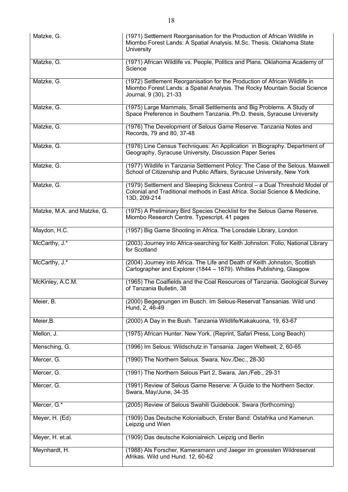| Matzke, G.                  | (1971) Settlement Reorganisation for the Production of African Wildlife in<br>Miombo Forest Lands: A Spatial Analysis. M.Sc. Thesis. Oklahoma State<br><b>University</b>           |
|-----------------------------|------------------------------------------------------------------------------------------------------------------------------------------------------------------------------------|
| Matzke, G.                  | (1971) African Wildlife vs. People, Politics and Plans. Oklahoma Academy of<br>Science                                                                                             |
| Matzke, G.                  | (1972) Settlement Reorganisation for the Production of African Wildlife in<br>Miombo Forest Lands: a Spatial Analysis. The Rocky Mountain Social Science<br>Journal, 9 (30), 21-33 |
| Matzke, G.                  | (1975) Large Mammals, Small Settlements and Big Problems. A Study of<br>Space Preference in Southern Tanzania. Ph.D. thesis, Syracuse University                                   |
| Matzke, G.                  | (1976) The Development of Selous Game Reserve. Tanzania Notes and<br>Records, 79 and 80, 37-48                                                                                     |
| Matzke, G.                  | (1976) Line Census Techniques: An Application in Biography. Department of<br>Geography, Syracuse University, Discussion Paper Series                                               |
| Matzke, G.                  | (1977) Wildlife in Tanzania Settlement Policy: The Case of the Selous. Maxwell<br>School of Citizenship and Public Affairs, Syracuse University, New York                          |
| Matzke, G.                  | (1979) Settlement and Sleeping Sickness Control - a Dual Threshold Model of<br>Colonial and Traditional methods in East Africa. Social Science & Medicine,<br>13D, 209-214         |
| Matzke, M.A. and Matzke, G. | (1975) A Preliminary Bird Species Checklist for the Selous Game Reserve.<br>Miombo Research Centre. Typescript, 41 pages                                                           |
| Maydon, H.C.                | (1957) Big Game Shooting in Africa. The Lonsdale Library, London                                                                                                                   |
| McCarthy, J.*               | (2003) Journey into Africa-searching for Keith Johnston. Folio, National Library<br>for Scotland                                                                                   |
| McCarthy, J.*               | (2004) Journey into Africa. The Life and Death of Keith Johnston, Scottish<br>Cartographer and Explorer (1844 - 1879). Whitles Publishing, Glasgow                                 |
| McKinley, A.C.M.            | (1965) The Coalfields and the Coal Resources of Tanzania. Geological Survey<br>of Tanzania Bulletin, 38                                                                            |
| Meier, B.                   | (2000) Begegnungen im Busch. Im Selous-Reservat Tansanias. Wild und<br>Hund, 2, 46-49                                                                                              |
| Meier, B.                   | (2000) A Day in the Bush. Tanzania Wildlife/Kakakuona, 19, 63-67                                                                                                                   |
| Mellon, J.                  | (1975) African Hunter. New York. (Reprint, Safari Press, Long Beach)                                                                                                               |
| Mensching, G.               | (1996) Im Selous: Wildschutz in Tansania. Jagen Weltweit, 2, 60-65                                                                                                                 |
| Mercer, G.                  | (1990) The Northern Selous. Swara, Nov./Dec., 28-30                                                                                                                                |
| Mercer, G.                  | (1991) The Northern Selous Part 2, Swara, Jan./Feb., 29-31                                                                                                                         |
| Mercer, G.                  | (1991) Review of Selous Game Reserve: A Guide to the Northern Sector.<br>Swara, May/June, 34-35                                                                                    |
| Mercer, G.*                 | (2005) Review of Selous Swahili Guidebook. Swara (forthcoming)                                                                                                                     |
| Meyer, H. (Ed)              | (1909) Das Deutsche Kolonialbuch, Erster Band: Ostafrika und Kamerun.<br>Leipzig und Wien                                                                                          |
| Meyer, H. et.al.            | (1909) Das deutsche Kolonialreich. Leipzig und Berlin                                                                                                                              |
| Meynhardt, H.               | (1988) Als Forscher, Kameramann und Jaeger im groessten Wildreservat<br>Afrikas. Wild und Hund. 12, 60-62                                                                          |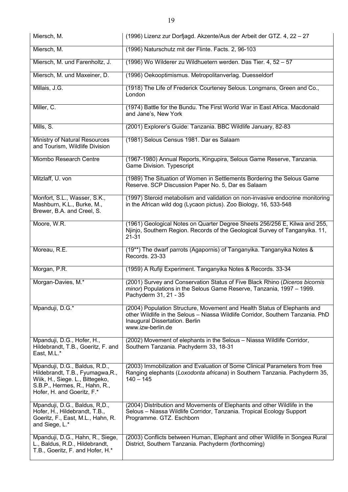| Miersch, M.                                                                                                                                                         | (1996) Lizenz zur Dorfjagd. Akzente/Aus der Arbeit der GTZ. 4, 22 - 27                                                                                                                                             |
|---------------------------------------------------------------------------------------------------------------------------------------------------------------------|--------------------------------------------------------------------------------------------------------------------------------------------------------------------------------------------------------------------|
| Miersch, M.                                                                                                                                                         | (1996) Naturschutz mit der Flinte. Facts. 2, 96-103                                                                                                                                                                |
| Miersch, M. und Farenholtz, J.                                                                                                                                      | (1996) Wo Wilderer zu Wildhuetern werden. Das Tier. 4, 52 - 57                                                                                                                                                     |
| Miersch, M. und Maxeiner, D.                                                                                                                                        | (1996) Oekooptimismus. Metropolitanverlag. Duesseldorf                                                                                                                                                             |
| Millais, J.G.                                                                                                                                                       | (1918) The Life of Frederick Courteney Selous. Longmans, Green and Co.,<br>London                                                                                                                                  |
| Miller, C.                                                                                                                                                          | (1974) Battle for the Bundu. The First World War in East Africa. Macdonald<br>and Jane's, New York                                                                                                                 |
| Mills, S.                                                                                                                                                           | (2001) Explorer's Guide: Tanzania. BBC Wildlife January, 82-83                                                                                                                                                     |
| Ministry of Natural Resources<br>and Tourism, Wildlife Division                                                                                                     | (1981) Selous Census 1981. Dar es Salaam                                                                                                                                                                           |
| Miombo Research Centre                                                                                                                                              | (1967-1980) Annual Reports, Kingupira, Selous Game Reserve, Tanzania.<br>Game Division. Typescript                                                                                                                 |
| Mitzlaff, U. von                                                                                                                                                    | (1989) The Situation of Women in Settlements Bordering the Selous Game<br>Reserve. SCP Discussion Paper No. 5, Dar es Salaam                                                                                       |
| Monfort, S.L., Wasser, S.K.,<br>Mashburn, K.L., Burke, M.,<br>Brewer, B.A. and Creel, S.                                                                            | (1997) Steroid metabolism and validation on non-invasive endocrine monitoring<br>in the African wild dog (Lycaon pictus). Zoo Biology, 16, 533-548                                                                 |
| Moore, W.R.                                                                                                                                                         | (1961) Geological Notes on Quarter Degree Sheets 256/256 E, Kilwa and 255,<br>Njinjo, Southern Region. Records of the Geological Survey of Tanganyika. 11,<br>$21 - 31$                                            |
| Moreau, R.E.                                                                                                                                                        | (19**) The dwarf parrots (Agapornis) of Tanganyika. Tanganyika Notes &<br>Records. 23-33                                                                                                                           |
| Morgan, P.R.                                                                                                                                                        | (1959) A Rufiji Experiment. Tanganyika Notes & Records. 33-34                                                                                                                                                      |
| Morgan-Davies, M.*                                                                                                                                                  | (2001) Survey and Conservation Status of Five Black Rhino (Diceros bicornis<br>minor) Populations in the Selous Game Reserve, Tanzania, 1997 – 1999.<br>Pachyderm 31, 21 - 35                                      |
| Mpanduji, D.G.*                                                                                                                                                     | (2004) Population Structure, Movement and Health Status of Elephants and<br>other Wildlife in the Selous - Niassa Wildlife Corridor, Southern Tanzania. PhD<br>Inaugural Dissertation. Berlin<br>www.izw-berlin.de |
| Mpanduji, D.G., Hofer, H.,<br>Hildebrandt, T.B., Goeritz, F. and<br>East, M.L.*                                                                                     | (2002) Movement of elephants in the Selous - Niassa Wildlife Corridor,<br>Southern Tanzania. Pachyderm 33, 18-31                                                                                                   |
| Mpanduji, D.G., Baldus, R.D.,<br>Hildebrandt, T.B., Fyumagwa, R.,<br>Wiik, H., Siege. L., Bittegeko,<br>S.B.P., Hermes, R., Hahn, R.,<br>Hofer, H. and Goeritz, F.* | (2003) Immobilization and Evaluation of Some Clinical Parameters from free<br>Ranging elephants (Loxodonta africana) in Southern Tanzania. Pachyderm 35,<br>$140 - 145$                                            |
| Mpanduji, D.G., Baldus, R,D.,<br>Hofer, H., Hildebrandt, T.B.,<br>Goeritz, F., East, M.L., Hahn, R.<br>and Siege, L.*                                               | (2004) Distribution and Movements of Elephants and other Wildlife in the<br>Selous - Niassa Wildlife Corridor, Tanzania. Tropical Ecology Support<br>Programme. GTZ. Eschborn                                      |
| Mpanduji, D.G., Hahn, R., Siege,<br>L., Baldus, R.D., Hildebrandt,<br>T.B., Goeritz, F. and Hofer, H.*                                                              | (2003) Conflicts between Human, Elephant and other Wildlife in Songea Rural<br>District, Southern Tanzania. Pachyderm (forthcoming)                                                                                |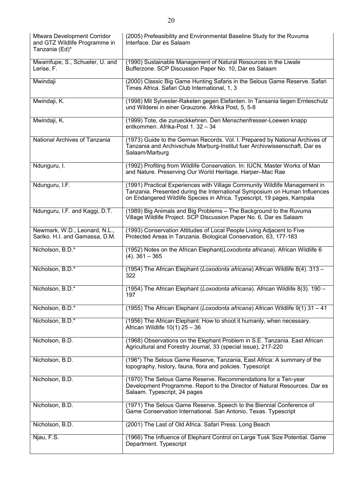| Mtwara Development Corridor<br>and GTZ Wildlife Programme in<br>Tanzania (Ed)* | (2005) Prefeasibility and Environmental Baseline Study for the Ruvuma<br>Interface. Dar es Salaam                                                                                                                                   |
|--------------------------------------------------------------------------------|-------------------------------------------------------------------------------------------------------------------------------------------------------------------------------------------------------------------------------------|
| Mwamfupe, S., Schueler, U. and<br>Lerise, F.                                   | (1990) Sustainable Management of Natural Resources in the Liwale<br>Bufferzone. SCP Discussion Paper No. 10, Dar es Salaam                                                                                                          |
| Mwindaji                                                                       | (2000) Classic Big Game Hunting Safaris in the Selous Game Reserve. Safari<br>Times Africa. Safari Club International, 1, 3                                                                                                         |
| Mwindaji, K.                                                                   | (1998) Mit Sylvester-Raketen gegen Elefanten. In Tansania liegen Ernteschutz<br>und Wilderei in einer Grauzone. Afrika Post, 5, 5-8                                                                                                 |
| Mwindaji, K.                                                                   | (1999) Tote, die zurueckkehren. Den Menschenfresser-Loewen knapp<br>entkommen. Afrika-Post 1. 32 - 34                                                                                                                               |
| National Archives of Tanzania                                                  | (1973) Guide to the German Records. Vol. I. Prepared by National Archives of<br>Tanzania and Archivschule Marburg-Institut fuer Archivwissenschaft, Dar es<br>Salaam/Marburg                                                        |
| Ndunguru, I.                                                                   | (1992) Profiting from Wildlife Conservation. In: IUCN, Master Works of Man<br>and Nature. Preserving Our World Heritage. Harper-Mac Rae                                                                                             |
| Ndunguru, I.F.                                                                 | (1991) Practical Experiences with Village Community Wildlife Management in<br>Tanzania. Presented during the International Symposium on Human Influences<br>on Endangered Wildlife Species in Africa. Typescript, 19 pages, Kampala |
| Ndunguru, I.F. and Kaggi, D.T.                                                 | (1989) Big Animals and Big Problems - The Background to the Ruvuma<br>Village Wildlife Project. SCP Discussion Paper No. 6, Dar es Salaam                                                                                           |
| Newmark, W.D., Leonard, N.L.,<br>Sariko. H.I. and Gamassa, D.M.                | (1993) Conservation Attitudes of Local People Living Adjacent to Five<br>Protected Areas in Tanzania. Biological Conservation, 63, 177-183                                                                                          |
| Nicholson, B.D.*                                                               | (1952) Notes on the African Elephant(Loxodonta africana). African Wildlife 6<br>$(4)$ . 361 - 365                                                                                                                                   |
| Nicholson, B.D.*                                                               | (1954) The African Elephant (Loxodonta africana) African Wildlife 8(4). 313 -<br>322                                                                                                                                                |
| Nicholson, B.D.*                                                               | (1954) The African Elephant (Loxodonta africana). African Wildlife 8(3). 190 -<br>197                                                                                                                                               |
| Nicholson, B.D.*                                                               | (1955) The African Elephant (Loxodonta africana) African Wildlife 9(1) 31 - 41                                                                                                                                                      |
| Nicholson, B.D.*                                                               | (1956) The African Elephant: How to shoot it humanly, when necessary.<br>African Wildlife $10(1)$ 25 - 36                                                                                                                           |
| Nicholson, B.D.                                                                | (1968) Observations on the Elephant Problem in S.E. Tanzania. East African<br>Agricultural and Forestry Journal, 33 (special issue), 217-220                                                                                        |
| Nicholson, B.D.                                                                | (196*) The Selous Game Reserve, Tanzania, East Africa: A summary of the<br>topography, history, fauna, flora and policies. Typescript                                                                                               |
| Nicholson, B.D.                                                                | (1970) The Selous Game Reserve. Recommendations for a Ten-year<br>Development Programme. Report to the Director of Natural Resources. Dar es<br>Salaam. Typescript, 24 pages                                                        |
| Nicholson, B.D.                                                                | (1971) The Selous Game Reserve. Speech to the Biennial Conference of<br>Game Conservation International. San Antonio, Texas. Typescript                                                                                             |
| Nicholson, B.D.                                                                | (2001) The Last of Old Africa. Safari Press. Long Beach                                                                                                                                                                             |
| Njau, F.S.                                                                     | (1966) The Influence of Elephant Control on Large Tusk Size Potential. Game<br>Department. Typescript                                                                                                                               |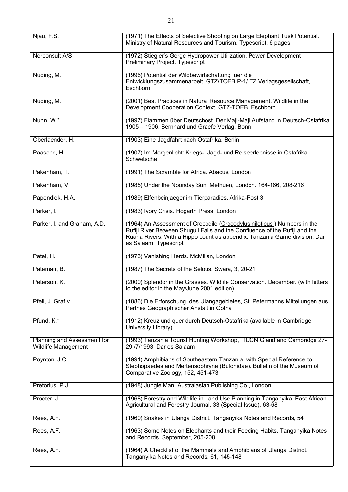| Njau, F.S.                                                | (1971) The Effects of Selective Shooting on Large Elephant Tusk Potential.<br>Ministry of Natural Resources and Tourism. Typescript, 6 pages                                                                                                                 |
|-----------------------------------------------------------|--------------------------------------------------------------------------------------------------------------------------------------------------------------------------------------------------------------------------------------------------------------|
| Norconsult A/S                                            | (1972) Stiegler's Gorge Hydropower Utilization. Power Development<br>Preliminary Project. Typescript                                                                                                                                                         |
| Nuding, M.                                                | (1996) Potential der Wildbewirtschaftung fuer die<br>Entwicklungszusammenarbeit, GTZ/TOEB P-1/ TZ Verlagsgesellschaft,<br>Eschborn                                                                                                                           |
| Nuding, M.                                                | (2001) Best Practices in Natural Resource Management. Wildlife in the<br>Development Cooperation Context. GTZ-TOEB. Eschborn                                                                                                                                 |
| Nuhn, W.*                                                 | (1997) Flammen über Deutschost. Der Maji-Maji Aufstand in Deutsch-Ostafrika<br>1905 - 1906. Bernhard und Graefe Verlag. Bonn                                                                                                                                 |
| Oberlaender, H.                                           | (1903) Eine Jagdfahrt nach Ostafrika. Berlin                                                                                                                                                                                                                 |
| Paasche, H.                                               | (1907) Im Morgenlicht: Kriegs-, Jagd- und Reiseerlebnisse in Ostafrika.<br>Schwetsche                                                                                                                                                                        |
| Pakenham, T.                                              | (1991) The Scramble for Africa. Abacus, London                                                                                                                                                                                                               |
| Pakenham, V.                                              | (1985) Under the Noonday Sun. Methuen, London. 164-166, 208-216                                                                                                                                                                                              |
| Papendiek, H.A.                                           | (1989) Elfenbeinjaeger im Tierparadies. Afrika-Post 3                                                                                                                                                                                                        |
| Parker, I.                                                | (1983) Ivory Crisis. Hogarth Press, London                                                                                                                                                                                                                   |
| Parker, I. and Graham, A.D.                               | (1964) An Assessment of Crocodile (Crocodylus niloticus) Numbers in the<br>Rufiji River Between Shuguli Falls and the Confluence of the Rufiji and the<br>Ruaha Rivers. With a Hippo count as appendix. Tanzania Game division, Dar<br>es Salaam. Typescript |
| Patel, H.                                                 | (1973) Vanishing Herds. McMillan, London                                                                                                                                                                                                                     |
| Pateman, B.                                               | (1987) The Secrets of the Selous. Swara, 3, 20-21                                                                                                                                                                                                            |
| Peterson, K.                                              | (2000) Splendor in the Grasses. Wildlife Conservation. December. (with letters<br>to the editor in the May/June 2001 edition)                                                                                                                                |
| Pfeil, J. Graf v.                                         | (1886) Die Erforschung des Ulangagebietes, St. Petermanns Mitteilungen aus<br>Perthes Geographischer Anstalt in Gotha                                                                                                                                        |
| Pfund, K.*                                                | (1912) Kreuz und quer durch Deutsch-Ostafrika (available in Cambridge<br>University Library)                                                                                                                                                                 |
| Planning and Assessment for<br><b>Wildlife Management</b> | (1993) Tanzania Tourist Hunting Workshop, IUCN Gland and Cambridge 27-<br>29 /7/1993. Dar es Salaam                                                                                                                                                          |
| Poynton, J.C.                                             | (1991) Amphibians of Southeastern Tanzania, with Special Reference to<br>Stephopaedes and Mertensophryne (Bufonidae). Bulletin of the Museum of<br>Comparative Zoology, 152, 451-473                                                                         |
| Pretorius, P.J.                                           | (1948) Jungle Man. Australasian Publishing Co., London                                                                                                                                                                                                       |
| Procter, J.                                               | (1968) Forestry and Wildlife in Land Use Planning in Tanganyika. East African<br>Agricultural and Forestry Journal, 33 (Special Issue), 63-68                                                                                                                |
| Rees, A.F.                                                | (1960) Snakes in Ulanga District. Tanganyika Notes and Records, 54                                                                                                                                                                                           |
| Rees, A.F.                                                | (1963) Some Notes on Elephants and their Feeding Habits. Tanganyika Notes<br>and Records. September, 205-208                                                                                                                                                 |
| Rees, A.F.                                                | (1964) A Checklist of the Mammals and Amphibians of Ulanga District.<br>Tanganyika Notes and Records, 61, 145-148                                                                                                                                            |

 $\overline{\phantom{a}}$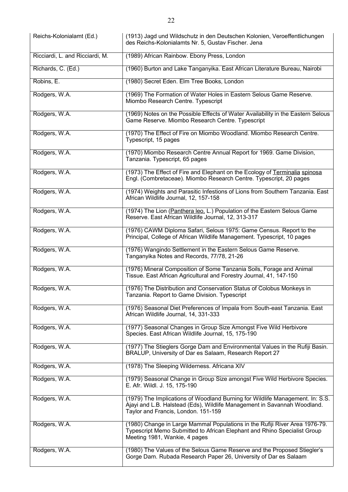| Reichs-Kolonialamt (Ed.)        | (1913) Jagd und Wildschutz in den Deutschen Kolonien, Veroeffentlichungen<br>des Reichs-Kolonialamts Nr. 5, Gustav Fischer. Jena                                                                 |
|---------------------------------|--------------------------------------------------------------------------------------------------------------------------------------------------------------------------------------------------|
| Ricciardi, L. and Ricciardi, M. | (1989) African Rainbow. Ebony Press, London                                                                                                                                                      |
| Richards, C. (Ed.)              | (1960) Burton and Lake Tanganyika. East African Literature Bureau, Nairobi                                                                                                                       |
| Robins, E.                      | (1980) Secret Eden. Elm Tree Books, London                                                                                                                                                       |
| Rodgers, W.A.                   | (1969) The Formation of Water Holes in Eastern Selous Game Reserve.<br>Miombo Research Centre. Typescript                                                                                        |
| Rodgers, W.A.                   | (1969) Notes on the Possible Effects of Water Availability in the Eastern Selous<br>Game Reserve. Miombo Research Centre. Typescript                                                             |
| Rodgers, W.A.                   | (1970) The Effect of Fire on Miombo Woodland. Miombo Research Centre.<br>Typescript, 15 pages                                                                                                    |
| Rodgers, W.A.                   | (1970) Miombo Research Centre Annual Report for 1969. Game Division,<br>Tanzania. Typescript, 65 pages                                                                                           |
| Rodgers, W.A.                   | (1973) The Effect of Fire and Elephant on the Ecology of Terminalia spinosa<br>Engl. (Combretaceae). Miombo Research Centre. Typescript, 20 pages                                                |
| Rodgers, W.A.                   | (1974) Weights and Parasitic Infestions of Lions from Southern Tanzania. East<br>African Wildlife Journal, 12, 157-158                                                                           |
| Rodgers, W.A.                   | (1974) The Lion (Panthera leo. L.) Population of the Eastern Selous Game<br>Reserve. East African Wildlife Journal, 12, 313-317                                                                  |
| Rodgers, W.A.                   | (1976) CAWM Diploma Safari, Selous 1975: Game Census. Report to the<br>Principal, College of African Wildlife Management. Typescript, 10 pages                                                   |
| Rodgers, W.A.                   | (1976) Wangindo Settlement in the Eastern Selous Game Reserve.<br>Tanganyika Notes and Records, 77/78, 21-26                                                                                     |
| Rodgers, W.A.                   | (1976) Mineral Composition of Some Tanzania Soils, Forage and Animal<br>Tissue. East African Agricultural and Forestry Journal, 41, 147-150                                                      |
| Rodgers, W.A.                   | (1976) The Distribution and Conservation Status of Colobus Monkeys in<br>Tanzania. Report to Game Division. Typescript                                                                           |
| Rodgers, W.A.                   | (1976) Seasonal Diet Preferences of Impala from South-east Tanzania. East<br>African Wildlife Journal, 14, 331-333                                                                               |
| Rodgers, W.A.                   | (1977) Seasonal Changes in Group Size Amongst Five Wild Herbivore<br>Species. East African Wildlife Journal, 15, 175-190                                                                         |
| Rodgers, W.A.                   | (1977) The Stieglers Gorge Dam and Environmental Values in the Rufiji Basin.<br>BRALUP, University of Dar es Salaam, Research Report 27                                                          |
| Rodgers, W.A.                   | (1978) The Sleeping Wilderness. Africana XIV                                                                                                                                                     |
| Rodgers, W.A.                   | (1979) Seasonal Change in Group Size amongst Five Wild Herbivore Species.<br>E. Afr. Wildl. J. 15, 175-190                                                                                       |
| Rodgers, W.A.                   | (1979) The Implications of Woodland Burning for Wildlife Management. In: S.S.<br>Ajayi and L.B. Halstead (Eds), Wildlife Management in Savannah Woodland.<br>Taylor and Francis, London. 151-159 |
| Rodgers, W.A.                   | (1980) Change in Large Mammal Populations in the Rufiji River Area 1976-79.<br>Typescript Memo Submitted to African Elephant and Rhino Specialist Group<br>Meeting 1981, Wankie, 4 pages         |
| Rodgers, W.A.                   | (1980) The Values of the Selous Game Reserve and the Proposed Stiegler's<br>Gorge Dam. Rubada Research Paper 26, University of Dar es Salaam                                                     |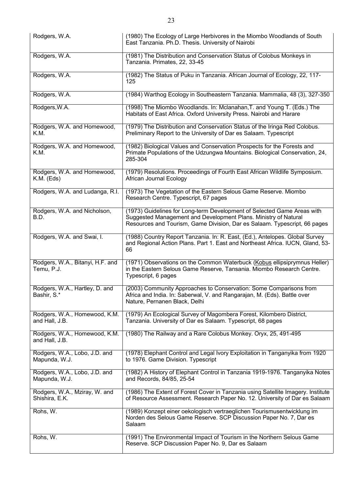| Rodgers, W.A.                                   | (1980) The Ecology of Large Herbivores in the Miombo Woodlands of South<br>East Tanzania. Ph.D. Thesis. University of Nairobi                                                                                           |
|-------------------------------------------------|-------------------------------------------------------------------------------------------------------------------------------------------------------------------------------------------------------------------------|
| Rodgers, W.A.                                   | (1981) The Distribution and Conservation Status of Colobus Monkeys in<br>Tanzania. Primates, 22, 33-45                                                                                                                  |
| Rodgers, W.A.                                   | (1982) The Status of Puku in Tanzania. African Journal of Ecology, 22, 117-<br>125                                                                                                                                      |
| Rodgers, W.A.                                   | (1984) Warthog Ecology in Southeastern Tanzania. Mammalia, 48 (3), 327-350                                                                                                                                              |
| Rodgers, W.A.                                   | (1998) The Miombo Woodlands. In: Mclanahan, T. and Young T. (Eds.) The<br>Habitats of East Africa. Oxford University Press. Nairobi and Harare                                                                          |
| Rodgers, W.A. and Homewood,<br>K.M.             | (1979) The Distribution and Conservation Status of the Iringa Red Colobus.<br>Preliminary Report to the University of Dar es Salaam. Typescript                                                                         |
| Rodgers, W.A. and Homewood,<br>K.M.             | (1982) Biological Values and Conservation Prospects for the Forests and<br>Primate Populations of the Udzungwa Mountains. Biological Conservation, 24,<br>285-304                                                       |
| Rodgers, W.A. and Homewood,<br>$K.M.$ (Eds)     | (1979) Resolutions. Proceedings of Fourth East African Wildlife Symposium.<br>African Journal Ecology                                                                                                                   |
| Rodgers, W.A. and Ludanga, R.I.                 | (1973) The Vegetation of the Eastern Selous Game Reserve. Miombo<br>Research Centre. Typescript, 67 pages                                                                                                               |
| Rodgers, W.A. and Nicholson,<br>B.D.            | (1973) Guidelines for Long-term Development of Selected Game Areas with<br>Suggested Management and Development Plans. Ministry of Natural<br>Resources and Tourism, Game Division, Dar es Salaam. Typescript, 66 pages |
| Rodgers, W.A. and Swai, I.                      | (1988) Country Report Tanzania. In: R. East, (Ed.), Antelopes. Global Survey<br>and Regional Action Plans. Part 1. East and Northeast Africa. IUCN, Gland, 53-<br>66                                                    |
| Rodgers, W.A., Bitanyi, H.F. and<br>Temu, P.J.  | (1971) Observations on the Common Waterbuck (Kobus ellipsiprymnus Heller)<br>in the Eastern Selous Game Reserve, Tansania. Miombo Research Centre.<br>Typescript, 6 pages                                               |
| Rodgers, W.A., Hartley, D. and<br>Bashir, S.*   | (2003) Community Approaches to Conservation: Some Comparisons from<br>Africa and India. In: Saberwal, V. and Rangarajan, M. (Eds). Battle over<br>Nature, Pernanen Black, Delhi                                         |
| Rodgers, W.A., Homewood, K.M.<br>and Hall, J.B. | (1979) An Ecological Survey of Magombera Forest, Kilombero District,<br>Tanzania. University of Dar es Salaam. Typescript, 68 pages                                                                                     |
| Rodgers, W.A., Homewood, K.M.<br>and Hall, J.B. | (1980) The Railway and a Rare Colobus Monkey. Oryx, 25, 491-495                                                                                                                                                         |
| Rodgers, W.A., Lobo, J.D. and<br>Mapunda, W.J.  | (1978) Elephant Control and Legal Ivory Exploitation in Tanganyika from 1920<br>to 1976. Game Division. Typescript                                                                                                      |
| Rodgers, W.A., Lobo, J.D. and<br>Mapunda, W.J.  | (1982) A History of Elephant Control in Tanzania 1919-1976. Tanganyika Notes<br>and Records, 84/85, 25-54                                                                                                               |
| Rodgers, W.A., Mziray, W. and<br>Shishira, E.K. | (1986) The Extent of Forest Cover in Tanzania using Satellite Imagery. Institute<br>of Resource Assessment. Research Paper No. 12. University of Dar es Salaam                                                          |
| Rohs, W.                                        | (1989) Konzept einer oekologisch vertraeglichen Tourismusentwicklung im<br>Norden des Selous Game Reserve. SCP Discussion Paper No. 7, Dar es<br>Salaam                                                                 |
| Rohs, W.                                        | (1991) The Environmental Impact of Tourism in the Northern Selous Game<br>Reserve. SCP Discussion Paper No. 9, Dar es Salaam                                                                                            |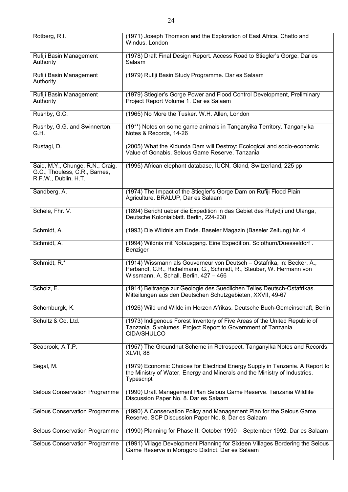| Rotberg, R.I.                                                                             | (1971) Joseph Thomson and the Exploration of East Africa. Chatto and<br>Windus. London                                                                                                    |
|-------------------------------------------------------------------------------------------|-------------------------------------------------------------------------------------------------------------------------------------------------------------------------------------------|
| Rufiji Basin Management<br>Authority                                                      | (1978) Draft Final Design Report. Access Road to Stiegler's Gorge. Dar es<br>Salaam                                                                                                       |
| Rufiji Basin Management<br>Authority                                                      | (1979) Rufiji Basin Study Programme. Dar es Salaam                                                                                                                                        |
| Rufiji Basin Management<br>Authority                                                      | (1979) Stiegler's Gorge Power and Flood Control Development, Preliminary<br>Project Report Volume 1. Dar es Salaam                                                                        |
| Rushby, G.C.                                                                              | (1965) No More the Tusker. W.H. Allen, London                                                                                                                                             |
| Rushby, G.G. and Swinnerton,<br>G.H.                                                      | (19**) Notes on some game animals in Tanganyika Territory. Tanganyika<br>Notes & Records, 14-26                                                                                           |
| Rustagi, D.                                                                               | (2005) What the Kidunda Dam will Destroy: Ecological and socio-economic<br>Value of Gonabis, Selous Game Reserve, Tanzania                                                                |
| Said, M.Y., Chunge, R.N., Craig,<br>G.C., Thouless, C.R., Barnes,<br>R.F.W., Dublin, H.T. | (1995) African elephant database, IUCN, Gland, Switzerland, 225 pp                                                                                                                        |
| Sandberg, A.                                                                              | (1974) The Impact of the Stiegler's Gorge Dam on Rufiji Flood Plain<br>Agriculture. BRALUP, Dar es Salaam                                                                                 |
| Schele, Fhr. V.                                                                           | (1894) Bericht ueber die Expedition in das Gebiet des Rufydji und Ulanga,<br>Deutsche Kolonialblatt. Berlin, 224-230                                                                      |
| Schmidt, A.                                                                               | (1993) Die Wildnis am Ende. Baseler Magazin (Baseler Zeitung) Nr. 4                                                                                                                       |
| Schmidt, A.                                                                               | (1994) Wildnis mit Notausgang. Eine Expedition. Solothurn/Duesseldorf.<br>Benziger                                                                                                        |
| Schmidt, R.*                                                                              | (1914) Wissmann als Gouverneur von Deutsch - Ostafrika, in: Becker, A.,<br>Perbandt, C.R., Richelmann, G., Schmidt, R., Steuber, W. Hermann von<br>Wissmann. A. Schall. Berlin. 427 - 466 |
| Scholz, E.                                                                                | (1914) Beitraege zur Geologie des Suedlichen Teiles Deutsch-Ostafrikas.<br>Mitteilungen aus den Deutschen Schutzgebieten, XXVII, 49-67                                                    |
| Schomburgk, K.                                                                            | (1926) Wild und Wilde im Herzen Afrikas. Deutsche Buch-Gemeinschaft, Berlin                                                                                                               |
| Schultz & Co. Ltd.                                                                        | (1973) Indigenous Forest Inventory of Five Areas of the United Republic of<br>Tanzania. 5 volumes. Project Report to Government of Tanzania.<br><b>CIDA/SHULCO</b>                        |
| Seabrook, A.T.P.                                                                          | (1957) The Groundnut Scheme in Retrospect. Tanganyika Notes and Records,<br>XLVII, 88                                                                                                     |
| Segal, M.                                                                                 | (1979) Economic Choices for Electrical Energy Supply in Tanzania. A Report to<br>the Ministry of Water, Energy and Minerals and the Ministry of Industries.<br>Typescript                 |
| Selous Conservation Programme                                                             | (1990) Draft Management Plan Selous Game Reserve. Tanzania Wildlife<br>Discussion Paper No. 8. Dar es Salaam                                                                              |
| Selous Conservation Programme                                                             | (1990) A Conservation Policy and Management Plan for the Selous Game<br>Reserve. SCP Discussion Paper No. 8, Dar es Salaam                                                                |
| Selous Conservation Programme                                                             | (1990) Planning for Phase II: October 1990 - September 1992. Dar es Salaam                                                                                                                |
| Selous Conservation Programme                                                             | (1991) Village Development Planning for Sixteen Villages Bordering the Selous<br>Game Reserve in Morogoro District. Dar es Salaam                                                         |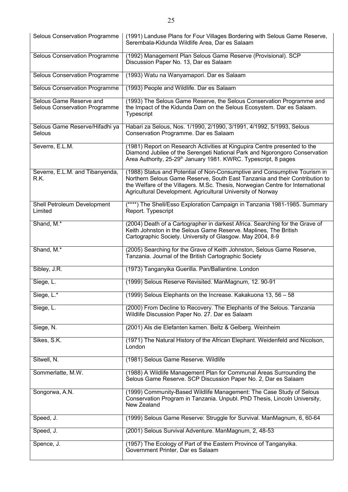| Selous Conservation Programme                                   | (1991) Landuse Plans for Four Villages Bordering with Selous Game Reserve,<br>Serembala-Kidunda Wildlife Area, Dar es Salaam                                                                                                                                                                              |
|-----------------------------------------------------------------|-----------------------------------------------------------------------------------------------------------------------------------------------------------------------------------------------------------------------------------------------------------------------------------------------------------|
| Selous Conservation Programme                                   | (1992) Management Plan Selous Game Reserve (Provisional). SCP<br>Discussion Paper No. 13, Dar es Salaam                                                                                                                                                                                                   |
| Selous Conservation Programme                                   | (1993) Watu na Wanyamapori. Dar es Salaam                                                                                                                                                                                                                                                                 |
| Selous Conservation Programme                                   | (1993) People and Wildlife. Dar es Salaam                                                                                                                                                                                                                                                                 |
| Selous Game Reserve and<br><b>Selous Conservation Programme</b> | (1993) The Selous Game Reserve, the Selous Conservation Programme and<br>the Impact of the Kidunda Dam on the Selous Ecosystem. Dar es Salaam.<br>Typescript                                                                                                                                              |
| Selous Game Reserve/Hifadhi ya<br>Selous                        | Habari za Selous, Nos. 1/1990, 2/1990, 3/1991, 4/1992, 5/1993, Selous<br>Conservation Programme. Dar es Salaam                                                                                                                                                                                            |
| Severre, E.L.M.                                                 | (1981) Report on Research Activities at Kingupira Centre presented to the<br>Diamond Jubilee of the Serengeti National Park and Ngorongoro Conservation<br>Area Authority, 25-29 <sup>th</sup> January 1981. KWRC. Typescript, 8 pages                                                                    |
| Severre, E.L.M. and Tibanyenda,<br>R.K.                         | (1988) Status and Potential of Non-Consumptive and Consumptive Tourism in<br>Northern Selous Game Reserve, South East Tanzania and their Contribution to<br>the Welfare of the Villagers. M.Sc. Thesis, Norwegian Centre for International<br>Agricultural Development. Agricultural University of Norway |
| Shell Petroleum Development<br>Limited                          | (****) The Shell/Esso Exploration Campaign in Tanzania 1981-1985. Summary<br>Report. Typescript                                                                                                                                                                                                           |
| Shand, M.*                                                      | (2004) Death of a Cartographer in darkest Africa. Searching for the Grave of<br>Keith Johnston in the Selous Game Reserve. Maplines, The British<br>Cartographic Society. University of Glasgow. May 2004, 8-9                                                                                            |
| Shand, M.*                                                      | (2005) Searching for the Grave of Keith Johnston, Selous Game Reserve,<br>Tanzania. Journal of the British Cartographic Society                                                                                                                                                                           |
| Sibley, J.R.                                                    | (1973) Tanganyika Guerilla. Pan/Ballantine. London                                                                                                                                                                                                                                                        |
| Siege, L.                                                       | (1999) Selous Reserve Revisited. ManMagnum, 12. 90-91                                                                                                                                                                                                                                                     |
| Siege, L.*                                                      | (1999) Selous Elephants on the Increase. Kakakuona 13, 56 - 58                                                                                                                                                                                                                                            |
| Siege, L.                                                       | (2000) From Decline to Recovery. The Elephants of the Selous. Tanzania<br>Wildlife Discussion Paper No. 27. Dar es Salaam                                                                                                                                                                                 |
| Siege, N.                                                       | (2001) Als die Elefanten kamen. Beltz & Gelberg. Weinheim                                                                                                                                                                                                                                                 |
| Sikes, S.K.                                                     | (1971) The Natural History of the African Elephant. Weidenfeld and Nicolson,<br>London                                                                                                                                                                                                                    |
| Sitwell, N.                                                     | (1981) Selous Game Reserve. Wildlife                                                                                                                                                                                                                                                                      |
| Sommerlatte, M.W.                                               | (1988) A Wildlife Management Plan for Communal Areas Surrounding the<br>Selous Game Reserve. SCP Discussion Paper No. 2, Dar es Salaam                                                                                                                                                                    |
| Songorwa, A.N.                                                  | (1999) Community-Based Wildlife Management: The Case Study of Selous<br>Conservation Program in Tanzania. Unpubl. PhD Thesis, Lincoln University,<br>New Zealand                                                                                                                                          |
| Speed, J.                                                       | (1999) Selous Game Reserve: Struggle for Survival. ManMagnum, 6, 60-64                                                                                                                                                                                                                                    |
| Speed, J.                                                       | (2001) Selous Survival Adventure. ManMagnum, 2, 48-53                                                                                                                                                                                                                                                     |
| Spence, J.                                                      | (1957) The Ecology of Part of the Eastern Province of Tanganyika.<br>Government Printer, Dar es Salaam                                                                                                                                                                                                    |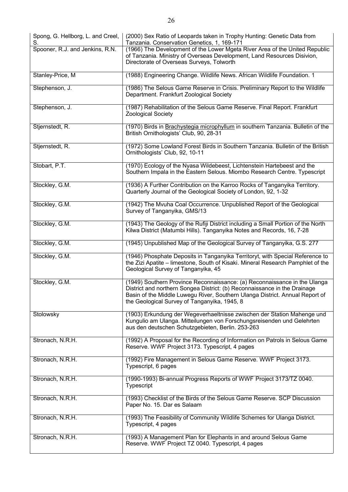| Spong, G. Hellborg, L. and Creel,<br>S. | (2000) Sex Ratio of Leopards taken in Trophy Hunting: Genetic Data from<br>Tanzania. Conservation Genetics, 1, 169-171                                                                              |
|-----------------------------------------|-----------------------------------------------------------------------------------------------------------------------------------------------------------------------------------------------------|
| Spooner, R.J. and Jenkins, R.N.         | (1966) The Development of the Lower Mgeta River Area of the United Republic<br>of Tanzania. Ministry of Overseas Development, Land Resources Disivion,<br>Directorate of Overseas Surveys, Tolworth |
| Stanley-Price, M                        | (1988) Engineering Change. Wildlife News. African Wildlife Foundation. 1                                                                                                                            |
| Stephenson, J.                          | (1986) The Selous Game Reserve in Crisis. Preliminary Report to the Wildlife<br>Department. Frankfurt Zoological Society                                                                            |

| Stephenson, J.   | (1986) The Selous Game Reserve in Crisis. Preliminary Report to the Wildlife<br>Department. Frankfurt Zoological Society                                                                                                                                                               |
|------------------|----------------------------------------------------------------------------------------------------------------------------------------------------------------------------------------------------------------------------------------------------------------------------------------|
| Stephenson, J.   | (1987) Rehabilitation of the Selous Game Reserve. Final Report. Frankfurt<br><b>Zoological Society</b>                                                                                                                                                                                 |
| Stjernstedt, R.  | (1970) Birds in Brachystegia microphyllum in southern Tanzania. Bulletin of the<br>British Ornithologists' Club, 90, 28-31                                                                                                                                                             |
| Stjernstedt, R.  | (1972) Some Lowland Forest Birds in Southern Tanzania. Bulletin of the British<br>Ornithologists' Club, 92, 10-11                                                                                                                                                                      |
| Stobart, P.T.    | (1970) Ecology of the Nyasa Wildebeest, Lichtenstein Hartebeest and the<br>Southern Impala in the Eastern Selous. Miombo Research Centre. Typescript                                                                                                                                   |
| Stockley, G.M.   | (1936) A Further Contribution on the Karroo Rocks of Tanganyika Territory.<br>Quarterly Journal of the Geological Society of London, 92, 1-32                                                                                                                                          |
| Stockley, G.M.   | (1942) The Mvuha Coal Occurrence. Unpublished Report of the Geological<br>Survey of Tanganyika, GMS/13                                                                                                                                                                                 |
| Stockley, G.M.   | (1943) The Geology of the Rufiji District including a Small Portion of the North<br>Kilwa District (Matumbi Hills). Tanganyika Notes and Records, 16, 7-28                                                                                                                             |
| Stockley, G.M.   | (1945) Unpublished Map of the Geological Survey of Tanganyika, G.S. 277                                                                                                                                                                                                                |
| Stockley, G.M.   | (1946) Phosphate Deposits in Tanganyika Territoryt, with Special Reference to<br>the Zizi Apatite – limestone, South of Kisaki. Mineral Research Pamphlet of the<br>Geological Survey of Tanganyika, 45                                                                                |
| Stockley, G.M.   | (1949) Southern Province Reconnaissance: (a) Reconnaissance in the Ulanga<br>District and northern Songea District: (b) Reconnaissance in the Drainage<br>Basin of the Middle Luwegu River, Southern Ulanga District. Annual Report of<br>the Geological Survey of Tanganyika, 1945, 8 |
| Stolowsky        | (1903) Erkundung der Wegeverhaeltnisse zwischen der Station Mahenge und<br>Kungulio am Ulanga. Mitteilungen von Forschungsreisenden und Gelehrten<br>aus den deutschen Schutzgebieten, Berlin. 253-263                                                                                 |
| Stronach, N.R.H. | (1992) A Proposal for the Recording of Information on Patrols in Selous Game<br>Reserve. WWF Project 3173. Typescript, 4 pages                                                                                                                                                         |
| Stronach, N.R.H. | (1992) Fire Management in Selous Game Reserve. WWF Project 3173.<br>Typescript, 6 pages                                                                                                                                                                                                |
| Stronach, N.R.H. | (1990-1993) Bi-annual Progress Reports of WWF Project 3173/TZ 0040.<br>Typescript                                                                                                                                                                                                      |
| Stronach, N.R.H. | (1993) Checklist of the Birds of the Selous Game Reserve. SCP Discussion<br>Paper No. 15. Dar es Salaam                                                                                                                                                                                |
| Stronach, N.R.H. | (1993) The Feasibility of Community Wildlife Schemes for Ulanga District.<br>Typescript, 4 pages                                                                                                                                                                                       |
| Stronach, N.R.H. | (1993) A Management Plan for Elephants in and around Selous Game<br>Reserve. WWF Project TZ 0040. Typescript, 4 pages                                                                                                                                                                  |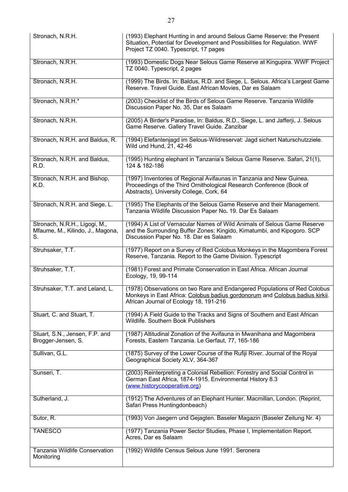| Stronach, N.R.H.                                                        | (1993) Elephant Hunting in and around Selous Game Reserve: the Present<br>Situation, Potential for Development and Possibilities for Regulation. WWF<br>Project TZ 0040. Typescript, 17 pages       |
|-------------------------------------------------------------------------|-----------------------------------------------------------------------------------------------------------------------------------------------------------------------------------------------------|
| Stronach, N.R.H.                                                        | (1993) Domestic Dogs Near Selous Game Reserve at Kingupira. WWF Project<br>TZ 0040. Typescript, 2 pages                                                                                             |
| Stronach, N.R.H.                                                        | (1999) The Birds. In: Baldus, R.D. and Siege, L. Selous. Africa's Largest Game<br>Reserve. Travel Guide. East African Movies, Dar es Salaam                                                         |
| Stronach, N.R.H.*                                                       | (2003) Checklist of the Birds of Selous Game Reserve. Tanzania Wildlife<br>Discussion Paper No. 35, Dar es Salaam                                                                                   |
| Stronach, N.R.H.                                                        | (2005) A Birder's Paradise, In: Baldus, R.D., Siege, L. and Jafferji, J. Selous<br>Game Reserve. Gallery Travel Guide. Zanzibar                                                                     |
| Stronach, N.R.H. and Baldus, R.                                         | (1994) Elefantenjagd im Selous-Wildreservat: Jagd sichert Naturschutzziele.<br>Wild und Hund, 21, 42-46                                                                                             |
| Stronach, N.R.H. and Baldus,<br>R.D.                                    | (1995) Hunting elephant in Tanzania's Selous Game Reserve. Safari, 21(1),<br>124 & 182-186                                                                                                          |
| Stronach, N.R.H. and Bishop,<br>K.D.                                    | (1997) Inventories of Regional Avifaunas in Tanzania and New Guinea.<br>Proceedings of the Third Ornithological Research Conference (Book of<br>Abstracts), University College, Cork, 64            |
| Stronach, N.R.H. and Siege, L.                                          | (1995) The Elephants of the Selous Game Reserve and their Management.<br>Tanzania Wildlife Discussion Paper No. 19. Dar Es Salaam                                                                   |
| Stronach, N.R.H., Ligogi, M.,<br>Mfaume, M., Kilindo, J., Magona,<br>S. | (1994) A List of Vernacular Names of Wild Animals of Selous Game Reserve<br>and the Surrounding Buffer Zones: Kingido, Kimatumbi, and Kipogoro. SCP<br>Discussion Paper No. 18. Dar es Salaam       |
| Struhsaker, T.T.                                                        | (1977) Report on a Survey of Red Colobus Monkeys in the Magombera Forest<br>Reserve, Tanzania. Report to the Game Division. Typescript                                                              |
| Struhsaker, T.T.                                                        | (1981) Forest and Primate Conservation in East Africa. African Journal<br>Ecology, 19, 99-114                                                                                                       |
| Struhsaker, T.T. and Leland, L.                                         | (1978) Observations on two Rare and Endangered Populations of Red Colobus<br>Monkeys in East Africa: Colobus badius gordonorum and Colobus badius kirkii.<br>African Journal of Ecology 18, 191-216 |
| Stuart, C. and Stuart, T.                                               | (1994) A Field Guide to the Tracks and Signs of Southern and East African<br>Wildlife. Southern Book Publishers                                                                                     |
| Stuart, S.N., Jensen, F.P. and<br>Brogger-Jensen, S.                    | (1987) Altitudinal Zonation of the Avifauna in Mwanihana and Magombera<br>Forests, Eastern Tanzania. Le Gerfaut, 77, 165-186                                                                        |
| Sullivan, G.L.                                                          | (1875) Survey of the Lower Course of the Rufiji River. Journal of the Royal<br>Geographical Society XLV, 364-367                                                                                    |
| Sunseri, T.                                                             | (2003) Reinterpreting a Colonial Rebellion: Forestry and Social Control in<br>German East Africa, 1874-1915. Environmental History 8.3<br>(www.historycooperative.org)                              |
| Sutherland, J.                                                          | (1912) The Adventures of an Elephant Hunter. Macmillan, London. (Reprint,<br>Safari Press Huntingdonbeach)                                                                                          |
| Sutor, R.                                                               | (1993) Von Jaegern und Gejagten. Baseler Magazin (Baseler Zeitung Nr. 4)                                                                                                                            |
| <b>TANESCO</b>                                                          | (1977) Tanzania Power Sector Studies, Phase I, Implementation Report.<br>Acres, Dar es Salaam                                                                                                       |
| Tanzania Wildlife Conservation<br>Monitoring                            | (1992) Wildlife Census Selous June 1991. Seronera                                                                                                                                                   |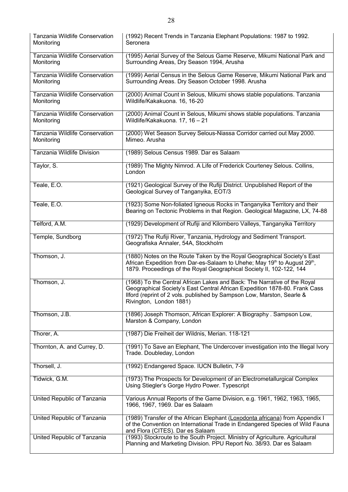| Tanzania Wildlife Conservation<br>Monitoring | (1992) Recent Trends in Tanzania Elephant Populations: 1987 to 1992.<br>Seronera                                                                                                                                                                            |
|----------------------------------------------|-------------------------------------------------------------------------------------------------------------------------------------------------------------------------------------------------------------------------------------------------------------|
| Tanzania Wildlife Conservation<br>Monitoring | (1995) Aerial Survey of the Selous Game Reserve, Mikumi National Park and<br>Surrounding Areas, Dry Season 1994, Arusha                                                                                                                                     |
| Tanzania Wildlife Conservation<br>Monitoring | (1999) Aerial Census in the Selous Game Reserve, Mikumi National Park and<br>Surrounding Areas. Dry Season October 1998. Arusha                                                                                                                             |
| Tanzania Wildlife Conservation<br>Monitoring | (2000) Animal Count in Selous, Mikumi shows stable populations. Tanzania<br>Wildlife/Kakakuona. 16, 16-20                                                                                                                                                   |
| Tanzania Wildlife Conservation<br>Monitoring | (2000) Animal Count in Selous, Mikumi shows stable populations. Tanzania<br>Wildlife/Kakakuona. 17, 16 - 21                                                                                                                                                 |
| Tanzania Wildlife Conservation<br>Monitoring | (2000) Wet Season Survey Selous-Niassa Corridor carried out May 2000.<br>Mimeo. Arusha                                                                                                                                                                      |
| <b>Tanzania Wildlife Division</b>            | (1989) Selous Census 1989. Dar es Salaam                                                                                                                                                                                                                    |
| Taylor, S.                                   | (1989) The Mighty Nimrod. A Life of Frederick Courteney Selous. Collins,<br>London                                                                                                                                                                          |
| Teale, E.O.                                  | (1921) Geological Survey of the Rufiji District. Unpublished Report of the<br>Geological Survey of Tanganyika, EOT/3                                                                                                                                        |
| Teale, E.O.                                  | (1923) Some Non-foliated Igneous Rocks in Tanganyika Territory and their<br>Bearing on Tectonic Problems in that Region. Geological Magazine, LX, 74-88                                                                                                     |
| Telford, A.M.                                | (1929) Development of Rufiji and Kilombero Valleys, Tanganyika Territory                                                                                                                                                                                    |
| Temple, Sundborg                             | (1972) The Rufiji River, Tanzania, Hydrology and Sediment Transport.<br>Geografiska Annaler, 54A, Stockholm                                                                                                                                                 |
| Thomson, J.                                  | (1880) Notes on the Route Taken by the Royal Geographical Society's East<br>African Expedition from Dar-es-Salaam to Uhehe; May 19th to August 29th,<br>1879. Proceedings of the Royal Geographical Society II, 102-122, 144                                |
| Thomson, J.                                  | (1968) To the Central African Lakes and Back: The Narrative of the Royal<br>Geographical Society's East Central African Expedition 1878-80. Frank Cass<br>Ilford (reprint of 2 vols. published by Sampson Low, Marston, Searle &<br>Rivington, London 1881) |
| Thomson, J.B.                                | (1896) Joseph Thomson, African Explorer: A Biography . Sampson Low,<br>Marston & Company, London                                                                                                                                                            |
| Thorer, A.                                   | (1987) Die Freiheit der Wildnis, Merian. 118-121                                                                                                                                                                                                            |
| Thornton, A. and Currey, D.                  | (1991) To Save an Elephant, The Undercover investigation into the Illegal Ivory<br>Trade. Doubleday, London                                                                                                                                                 |
| Thorsell, J.                                 | (1992) Endangered Space. IUCN Bulletin, 7-9                                                                                                                                                                                                                 |
| Tidwick, G.M.                                | (1973) The Prospects for Development of an Electrometallurgical Complex<br>Using Stiegler's Gorge Hydro Power. Typescript                                                                                                                                   |
| United Republic of Tanzania                  | Various Annual Reports of the Game Division, e.g. 1961, 1962, 1963, 1965,<br>1966, 1967, 1969. Dar es Salaam                                                                                                                                                |
| United Republic of Tanzania                  | (1989) Transfer of the African Elephant (Loxodonta africana) from Appendix I<br>of the Convention on International Trade in Endangered Species of Wild Fauna<br>and Flora (CITES). Dar es Salaam                                                            |
| United Republic of Tanzania                  | (1993) Stockroute to the South Project. Ministry of Agriculture. Agricultural<br>Planning and Marketing Division. PPU Report No. 38/93. Dar es Salaam                                                                                                       |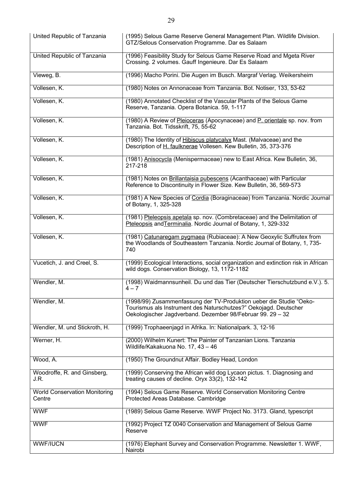| United Republic of Tanzania                    | (1995) Selous Game Reserve General Management Plan. Wildlife Division.<br>GTZ/Selous Conservation Programme. Dar es Salaam                                                                            |
|------------------------------------------------|-------------------------------------------------------------------------------------------------------------------------------------------------------------------------------------------------------|
| United Republic of Tanzania                    | (1996) Feasibility Study for Selous Game Reserve Road and Mgeta River<br>Crossing. 2 volumes. Gauff Ingenieure. Dar Es Salaam                                                                         |
| Vieweg, B.                                     | (1996) Macho Porini. Die Augen im Busch. Margraf Verlag. Weikersheim                                                                                                                                  |
| Vollesen, K.                                   | (1980) Notes on Annonaceae from Tanzania. Bot. Notiser, 133, 53-62                                                                                                                                    |
| Vollesen, K.                                   | (1980) Annotated Checklist of the Vascular Plants of the Selous Game<br>Reserve, Tanzania. Opera Botanica. 59, 1-117                                                                                  |
| Vollesen, K.                                   | (1980) A Review of Pleioceras (Apocynaceae) and P. orientale sp. nov. from<br>Tanzania. Bot. Tidsskrift, 75, 55-62                                                                                    |
| Vollesen, K.                                   | (1980) The Identity of Hibiscus platycalyx Mast. (Malvaceae) and the<br>Description of H. faulknerae Vollesen. Kew Bulletin, 35, 373-376                                                              |
| Vollesen, K.                                   | (1981) Anisocycla (Menispermaceae) new to East Africa. Kew Bulletin, 36,<br>217-218                                                                                                                   |
| Vollesen, K.                                   | (1981) Notes on Brillantaisia pubescens (Acanthaceae) with Particular<br>Reference to Discontinuity in Flower Size. Kew Bulletin, 36, 569-573                                                         |
| Vollesen, K.                                   | (1981) A New Species of Cordia (Boraginaceae) from Tanzania. Nordic Journal<br>of Botany, 1, 325-328                                                                                                  |
| Vollesen, K.                                   | (1981) Pteleopsis apetala sp. nov. (Combretaceae) and the Delimitation of<br>Pteleopsis and Terminalia. Nordic Journal of Botany, 1, 329-332                                                          |
| Vollesen, K.                                   | (1981) Catunaregam pygmaea (Rubiaceae): A New Geoxylic Suffrutex from<br>the Woodlands of Southeastern Tanzania. Nordic Journal of Botany, 1, 735-<br>740                                             |
| Vucetich, J. and Creel, S.                     | (1999) Ecological Interactions, social organization and extinction risk in African<br>wild dogs. Conservation Biology, 13, 1172-1182                                                                  |
| Wendler, M.                                    | (1998) Waidmannsunheil. Du und das Tier (Deutscher Tierschutzbund e.V.). 5.<br>$4 - 7$                                                                                                                |
| Wendler, M.                                    | (1998/99) Zusammenfassung der TV-Produktion ueber die Studie "Oeko-<br>Tourismus als Instrument des Naturschutzes?" Oekojagd. Deutscher<br>Oekologischer Jagdverband. Dezember 98/Februar 99. 29 - 32 |
| Wendler, M. und Stickroth, H.                  | (1999) Trophaeenjagd in Afrika. In: Nationalpark. 3, 12-16                                                                                                                                            |
| Werner, H.                                     | (2000) Wilhelm Kunert: The Painter of Tanzanian Lions. Tanzania<br>Wildlife/Kakakuona No. 17, 43 - 46                                                                                                 |
| Wood, A.                                       | (1950) The Groundnut Affair. Bodley Head, London                                                                                                                                                      |
| Woodroffe, R. and Ginsberg,<br>J.R.            | (1999) Conserving the African wild dog Lycaon pictus. 1. Diagnosing and<br>treating causes of decline. Oryx 33(2), 132-142                                                                            |
| <b>World Conservation Monitoring</b><br>Centre | (1994) Selous Game Reserve. World Conservation Monitoring Centre<br>Protected Areas Database. Cambridge                                                                                               |
| <b>WWF</b>                                     | (1989) Selous Game Reserve. WWF Project No. 3173. Gland, typescript                                                                                                                                   |
| <b>WWF</b>                                     | (1992) Project TZ 0040 Conservation and Management of Selous Game<br>Reserve                                                                                                                          |
| <b>WWF/IUCN</b>                                | (1976) Elephant Survey and Conservation Programme. Newsletter 1. WWF,<br>Nairobi                                                                                                                      |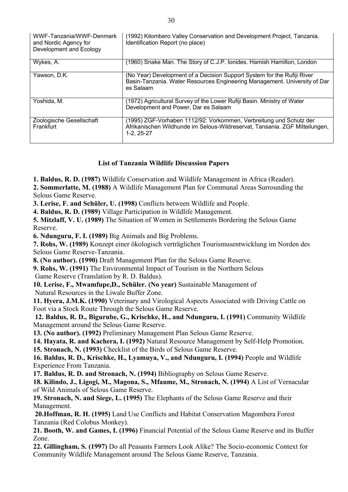| WWF-Tanzania/WWF-Denmark<br>and Nordic Agency for<br>Development and Ecology | (1992) Kilombero Valley Conservation and Development Project, Tanzania.<br>Identification Report (no place)                                                       |
|------------------------------------------------------------------------------|-------------------------------------------------------------------------------------------------------------------------------------------------------------------|
| Wykes, A.                                                                    | (1960) Snake Man. The Story of C.J.P. Ionides. Hamish Hamilton, London                                                                                            |
| Yawson, D.K.                                                                 | (No Year) Development of a Decision Support System for the Rufiji River<br>Basin-Tanzania. Water Resources Engineering Management. University of Dar<br>es Salaam |
| Yoshida, M.                                                                  | (1972) Agricultural Survey of the Lower Rufiji Basin. Ministry of Water<br>Development and Power, Dar es Salaam                                                   |
| Zoologische Gesellschaft<br>Frankfurt                                        | (1995) ZGF-Vorhaben 1112/92: Vorkommen, Verbreitung und Schutz der<br>Afrikanischen Wildhunde im Selous-Wildreservat, Tansania. ZGF Mitteilungen,<br>$1-2, 25-27$ |

## **List of Tanzania Wildlife Discussion Papers**

**1. Baldus, R. D. (1987)** Wildlife Conservation and Wildlife Management in Africa (Reader).

**2. Sommerlatte, M. (1988)** A Wildlife Management Plan for Communal Areas Surrounding the Selous Game Reserve.

**3. Lerise, F. and Schüler, U. (1998)** Conflicts between Wildlife and People.

**4. Baldus, R. D. (1989)** Village Participation in Wildlife Management.

**5. Mitzlaff, V. U. (1989)** The Situation of Women in Settlements Bordering the Selous Game Reserve.

**6. Ndunguru, F. I. (1989)** Big Animals and Big Problems.

**7. Rohs, W. (1989)** Konzept einer ökologisch verträglichen Tourismusentwicklung im Norden des Selous Game Reserve-Tanzania.

**8. (No author). (1990)** Draft Management Plan for the Selous Game Reserve.

**9. Rohs, W. (1991)** The Environmental Impact of Tourism in the Northern Selous Game Reserve (Translation by R. D. Baldus).

**10. Lerise, F., Mwamfupe,D., Schüler. (No year)** Sustainable Management of Natural Resources in the Liwale Buffer Zone.

**11. Hyera, J.M.K. (1990)** Veterinary and Virological Aspects Associated with Driving Cattle on Foot via a Stock Route Through the Selous Game Reserve.

**12. Baldus, R. D., Bigurube, G., Krischke, H., and Ndunguru, I. (1991)** Community Wildlife Management around the Selous Game Reserve.

**13. (No author). (1992)** Preliminary Management Plan Selous Game Reserve.

**14. Hayata, R. and Kachera, I. (1992)** Natural Resource Management by Self-Help Promotion.

**15. Stronach, N. (1993)** Checklist of the Birds of Selous Game Reserve.

**16. Baldus, R. D., Krischke, H., Lyamuya, V., and Ndunguru, I. (1994)** People and Wildlife Experience From Tanzania.

**17. Baldus, R. D. and Stronach, N. (1994)** Bibliography on Selous Game Reserve.

**18. Kilindo, J., Ligogi, M., Magona, S., Mfaume, M., Stronach, N. (1994)** A List of Vernacular of Wild Animals of Selous Game Reserve.

**19. Stronach, N. and Siege, L. (1995)** The Elephants of the Selous Game Reserve and their Management.

**20.Hoffman, R. H. (1995)** Land Use Conflicts and Habitat Conservation Magombera Forest Tanzania (Red Colobus Monkey).

**21. Booth, W. and Games, I. (1996)** Financial Potential of the Selous Game Reserve and its Buffer Zone.

**22. Gillingham, S. (1997)** Do all Peasants Farmers Look Alike? The Socio-economic Context for Community Wildlife Management around The Selous Game Reserve, Tanzania.